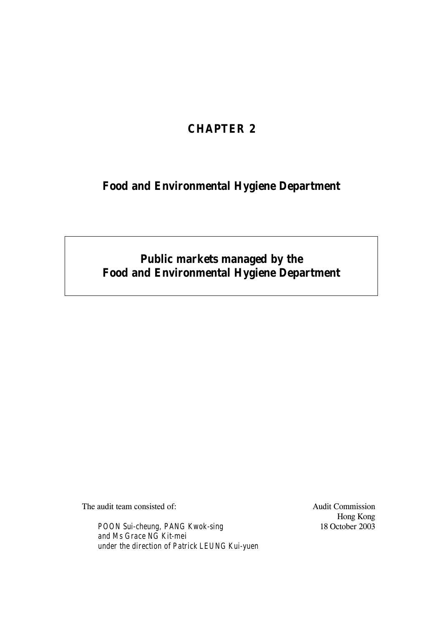# **CHAPTER 2**

# **Food and Environmental Hygiene Department**

# **Public markets managed by the Food and Environmental Hygiene Department**

The audit team consisted of:

*POON Sui-cheung, PANG Kwok-sing and Ms Grace NG Kit-mei under the direction of Patrick LEUNG Kui-yuen* Audit Commission Hong Kong 18 October 2003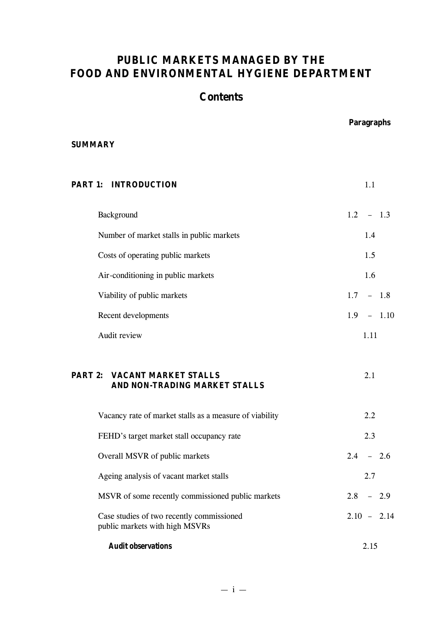# **PUBLIC MARKETS MANAGED BY THE FOOD AND ENVIRONMENTAL HYGIENE DEPARTMENT**

# **Contents**

 **Paragraphs**

## **SUMMARY**

| <b>PART 1: INTRODUCTION</b>                                                 | 1.1            |
|-----------------------------------------------------------------------------|----------------|
| Background                                                                  | $1.2 - 1.3$    |
| Number of market stalls in public markets                                   | 1.4            |
| Costs of operating public markets                                           | 1.5            |
| Air-conditioning in public markets                                          | 1.6            |
| Viability of public markets                                                 | $1.7 - 1.8$    |
| Recent developments                                                         | 1.9<br>$-1.10$ |
| Audit review                                                                | 1.11           |
| <b>PART 2: VACANT MARKET STALLS</b><br>AND NON-TRADING MARKET STALLS        | 2.1            |
| Vacancy rate of market stalls as a measure of viability                     | 2.2            |
| FEHD's target market stall occupancy rate                                   | 2.3            |
| Overall MSVR of public markets                                              | $2.4 - 2.6$    |
| Ageing analysis of vacant market stalls                                     | 2.7            |
| MSVR of some recently commissioned public markets                           | 2.8<br>$-2.9$  |
| Case studies of two recently commissioned<br>public markets with high MSVRs | $2.10 - 2.14$  |
| <b>Audit observations</b>                                                   | 2.15           |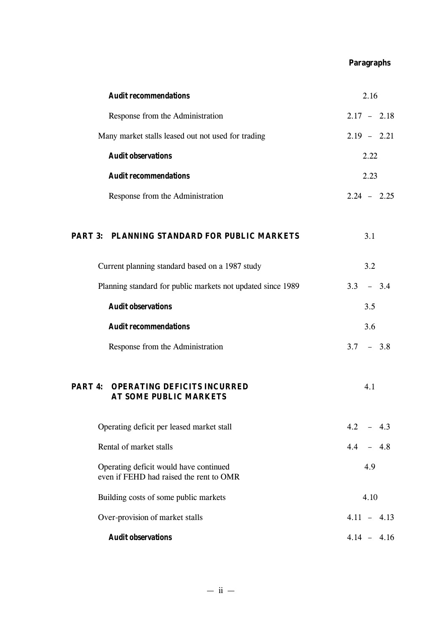## **Paragraphs**

| <b>Audit recommendations</b>                                                      | 2.16          |
|-----------------------------------------------------------------------------------|---------------|
| Response from the Administration                                                  | $2.17 - 2.18$ |
| Many market stalls leased out not used for trading                                | $2.19 - 2.21$ |
| <b>Audit observations</b>                                                         | 2.22          |
| <b>Audit recommendations</b>                                                      | 2.23          |
| Response from the Administration                                                  | $2.24 - 2.25$ |
| PART 3: PLANNING STANDARD FOR PUBLIC MARKETS                                      | 3.1           |
| Current planning standard based on a 1987 study                                   | 3.2           |
| Planning standard for public markets not updated since 1989                       | $3.3 - 3.4$   |
| <b>Audit observations</b>                                                         | 3.5           |
| <b>Audit recommendations</b>                                                      | 3.6           |
| Response from the Administration                                                  | $3.7 - 3.8$   |
| <b>PART 4: OPERATING DEFICITS INCURRED</b><br><b>AT SOME PUBLIC MARKETS</b>       | 4.1           |
| Operating deficit per leased market stall                                         | $4.2 - 4.3$   |
| Rental of market stalls                                                           | $4.4 - 4.8$   |
| Operating deficit would have continued<br>even if FEHD had raised the rent to OMR | 4.9           |
| Building costs of some public markets                                             | 4.10          |
| Over-provision of market stalls                                                   | $4.11 - 4.13$ |
| <b>Audit observations</b>                                                         | $4.14 - 4.16$ |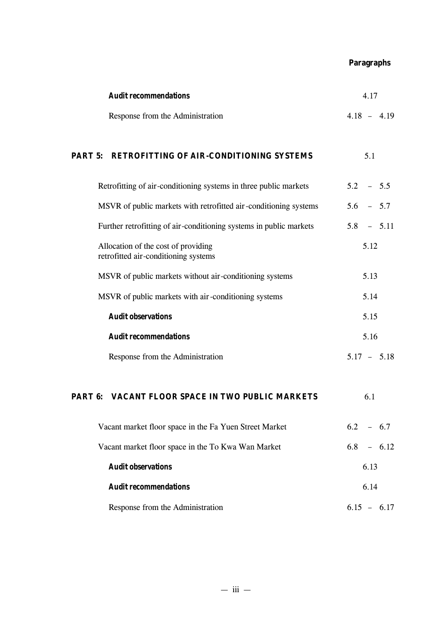**Paragraphs**

| <b>Audit recommendations</b>                                                | 4.17          |
|-----------------------------------------------------------------------------|---------------|
| Response from the Administration                                            | $4.18 - 4.19$ |
| PART 5: RETROFITTING OF AIR-CONDITIONING SYSTEMS                            | 5.1           |
| Retrofitting of air-conditioning systems in three public markets            | $5.2 - 5.5$   |
| MSVR of public markets with retrofitted air-conditioning systems            | $5.6 - 5.7$   |
| Further retrofitting of air-conditioning systems in public markets          | $5.8 - 5.11$  |
| Allocation of the cost of providing<br>retrofitted air-conditioning systems | 5.12          |
| MSVR of public markets without air-conditioning systems                     | 5.13          |
| MSVR of public markets with air-conditioning systems                        | 5.14          |
| <b>Audit observations</b>                                                   | 5.15          |
| <b>Audit recommendations</b>                                                | 5.16          |
| Response from the Administration                                            | $5.17 - 5.18$ |
| <b>PART 6: VACANT FLOOR SPACE IN TWO PUBLIC MARKETS</b>                     | 6.1           |
| Vacant market floor space in the Fa Yuen Street Market                      | $6.2 - 6.7$   |
| Vacant market floor space in the To Kwa Wan Market                          | $6.8 - 6.12$  |
| <b>Audit observations</b>                                                   | 6.13          |
| <b>Audit recommendations</b>                                                | 6.14          |
| Response from the Administration                                            | $6.15 - 6.17$ |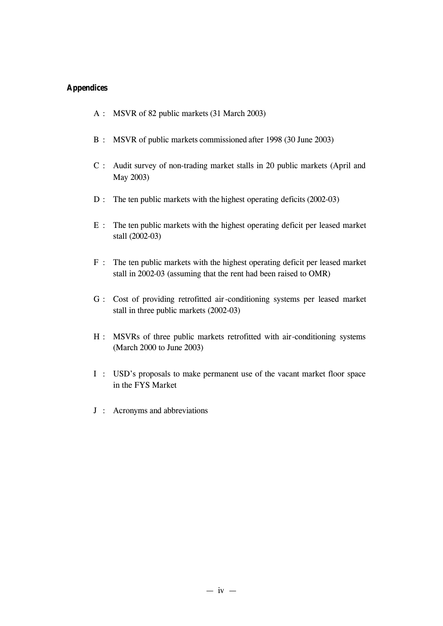## **Appendices**

- A : MSVR of 82 public markets (31 March 2003)
- B : MSVR of public markets commissioned after 1998 (30 June 2003)
- C : Audit survey of non-trading market stalls in 20 public markets (April and May 2003)
- D : The ten public markets with the highest operating deficits (2002-03)
- E : The ten public markets with the highest operating deficit per leased market stall (2002-03)
- F : The ten public markets with the highest operating deficit per leased market stall in 2002-03 (assuming that the rent had been raised to OMR)
- G : Cost of providing retrofitted air-conditioning systems per leased market stall in three public markets (2002-03)
- H : MSVRs of three public markets retrofitted with air-conditioning systems (March 2000 to June 2003)
- I : USD's proposals to make permanent use of the vacant market floor space in the FYS Market
- J : Acronyms and abbreviations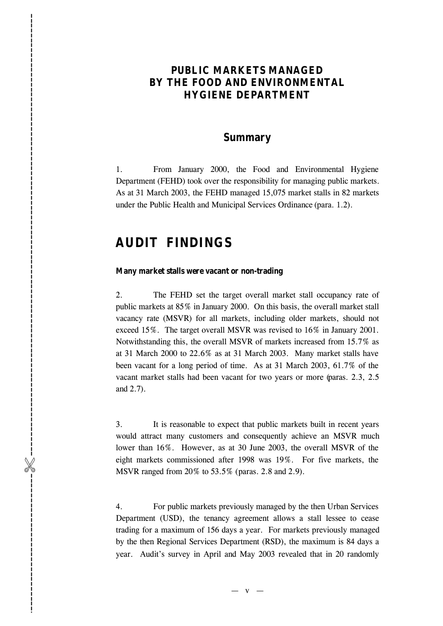## **PUBLIC MARKETS MANAGED BY THE FOOD AND ENVIRONMENTAL HYGIENE DEPARTMENT**

## **Summary**

1. From January 2000, the Food and Environmental Hygiene Department (FEHD) took over the responsibility for managing public markets. As at 31 March 2003, the FEHD managed 15,075 market stalls in 82 markets under the Public Health and Municipal Services Ordinance (para. 1.2).

# **AUDIT FINDINGS**

#### **Many market stalls were vacant or non-trading**

2. The FEHD set the target overall market stall occupancy rate of public markets at 85% in January 2000. On this basis, the overall market stall vacancy rate (MSVR) for all markets, including older markets, should not exceed 15%. The target overall MSVR was revised to 16% in January 2001. Notwithstanding this, the overall MSVR of markets increased from 15.7% as at 31 March 2000 to 22.6% as at 31 March 2003. Many market stalls have been vacant for a long period of time. As at 31 March 2003, 61.7% of the vacant market stalls had been vacant for two years or more (paras. 2.3, 2.5 and 2.7). **PUBLIC MARKETS MANAGED<br>BY THE FOOD AND ENVIRONMENTAL.**<br>HYGIENE DEPARTMENT<br>Summary<br>1... Trom Lonary 2003, the Testi and Towniquement Hygiene<br>1... The may 2003 revealed that in 20 repeating the magnitude to the<br>survey in M

3. It is reasonable to expect that public markets built in recent years would attract many customers and consequently achieve an MSVR much lower than 16%. However, as at 30 June 2003, the overall MSVR of the eight markets commissioned after 1998 was 19%. For five markets, the MSVR ranged from 20% to 53.5% (paras. 2.8 and 2.9).

4. For public markets previously managed by the then Urban Services Department (USD), the tenancy agreement allows a stall lessee to cease trading for a maximum of 156 days a year. For markets previously managed by the then Regional Services Department (RSD), the maximum is 84 days a

 $-$  v  $-$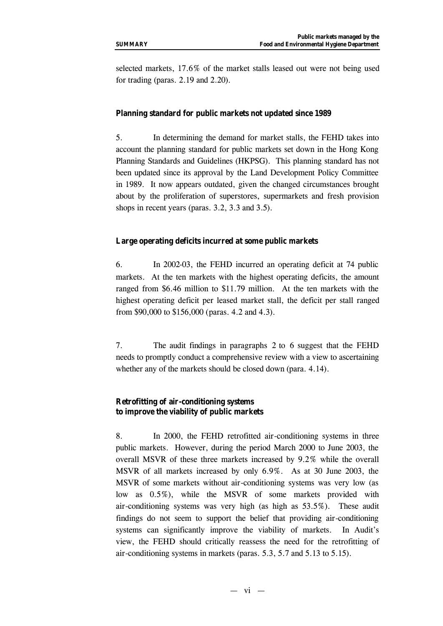selected markets, 17.6% of the market stalls leased out were not being used for trading (paras. 2.19 and 2.20).

#### **Planning standard for public markets not updated since 1989**

5. In determining the demand for market stalls, the FEHD takes into account the planning standard for public markets set down in the Hong Kong Planning Standards and Guidelines (HKPSG). This planning standard has not been updated since its approval by the Land Development Policy Committee in 1989. It now appears outdated, given the changed circumstances brought about by the proliferation of superstores, supermarkets and fresh provision shops in recent years (paras. 3.2, 3.3 and 3.5).

#### **Large operating deficits incurred at some public markets**

6. In 2002-03, the FEHD incurred an operating deficit at 74 public markets. At the ten markets with the highest operating deficits, the amount ranged from \$6.46 million to \$11.79 million. At the ten markets with the highest operating deficit per leased market stall, the deficit per stall ranged from \$90,000 to \$156,000 (paras. 4.2 and 4.3).

7. The audit findings in paragraphs 2 to 6 suggest that the FEHD needs to promptly conduct a comprehensive review with a view to ascertaining whether any of the markets should be closed down (para. 4.14).

#### **Retrofitting of air-conditioning systems to improve the viability of public markets**

8. In 2000, the FEHD retrofitted air-conditioning systems in three public markets. However, during the period March 2000 to June 2003, the overall MSVR of these three markets increased by 9.2% while the overall MSVR of all markets increased by only 6.9%. As at 30 June 2003, the MSVR of some markets without air-conditioning systems was very low (as low as 0.5%), while the MSVR of some markets provided with air-conditioning systems was very high (as high as 53.5%). These audit findings do not seem to support the belief that providing air-conditioning systems can significantly improve the viability of markets. In Audit's view, the FEHD should critically reassess the need for the retrofitting of air-conditioning systems in markets (paras. 5.3, 5.7 and 5.13 to 5.15).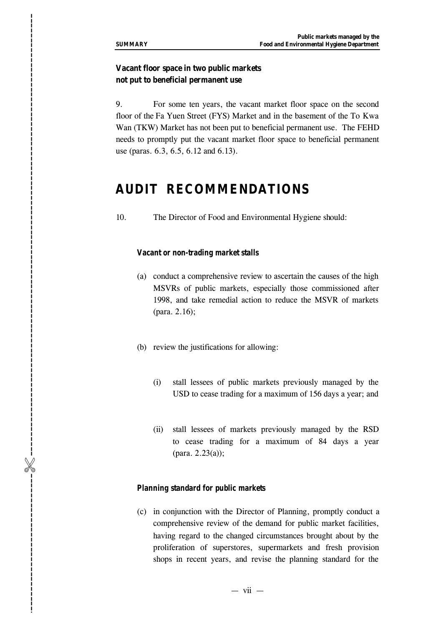## **Vacant floor space in two public markets not put to beneficial permanent use**

9. For some ten years, the vacant market floor space on the second floor of the Fa Yuen Street (FYS) Market and in the basement of the To Kwa Wan (TKW) Market has not been put to beneficial permanent use. The FEHD needs to promptly put the vacant market floor space to beneficial permanent use (paras. 6.3, 6.5, 6.12 and 6.13). **Shops in recent years** in recent years, and the planning standard for the planning standard for the planning standard for the second to the second that is the second to the second to the second to the second to the secon

# **AUDIT RECOMMENDATIONS**

10. The Director of Food and Environmental Hygiene should:

#### *Vacant or non-trading market stalls*

- (a) conduct a comprehensive review to ascertain the causes of the high MSVRs of public markets, especially those commissioned after 1998, and take remedial action to reduce the MSVR of markets (para. 2.16);
- (b) review the justifications for allowing:
	- (i) stall lessees of public markets previously managed by the USD to cease trading for a maximum of 156 days a year; and
	- (ii) stall lessees of markets previously managed by the RSD to cease trading for a maximum of 84 days a year (para. 2.23(a));

#### *Planning standard for public markets*

(c) in conjunction with the Director of Planning, promptly conduct a comprehensive review of the demand for public market facilities, having regard to the changed circumstances brought about by the proliferation of superstores, supermarkets and fresh provision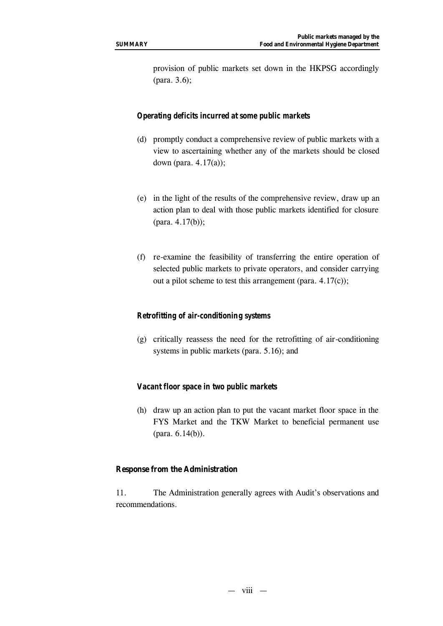provision of public markets set down in the HKPSG accordingly (para. 3.6);

#### *Operating deficits incurred at some public markets*

- (d) promptly conduct a comprehensive review of public markets with a view to ascertaining whether any of the markets should be closed down (para. 4.17(a));
- (e) in the light of the results of the comprehensive review, draw up an action plan to deal with those public markets identified for closure (para. 4.17(b));
- (f) re-examine the feasibility of transferring the entire operation of selected public markets to private operators, and consider carrying out a pilot scheme to test this arrangement (para. 4.17(c));

#### *Retrofitting of air-conditioning systems*

(g) critically reassess the need for the retrofitting of air-conditioning systems in public markets (para. 5.16); and

#### *Vacant floor space in two public markets*

(h) draw up an action plan to put the vacant market floor space in the FYS Market and the TKW Market to beneficial permanent use (para. 6.14(b)).

#### **Response from the Administration**

11. The Administration generally agrees with Audit's observations and recommendations.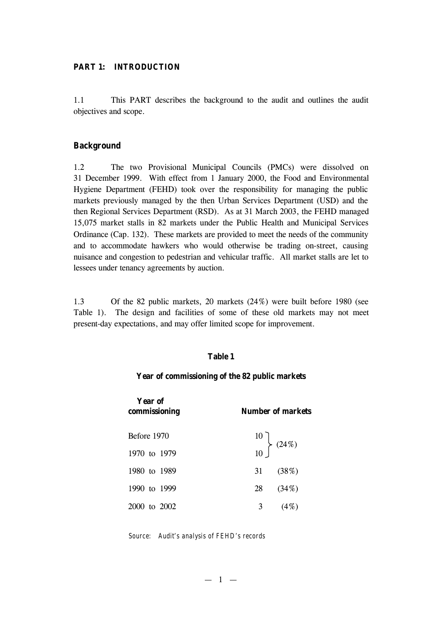#### **PART 1: INTRODUCTION**

1.1 This PART describes the background to the audit and outlines the audit objectives and scope.

#### **Background**

1.2 The two Provisional Municipal Councils (PMCs) were dissolved on 31 December 1999. With effect from 1 January 2000, the Food and Environmental Hygiene Department (FEHD) took over the responsibility for managing the public markets previously managed by the then Urban Services Department (USD) and the then Regional Services Department (RSD). As at 31 March 2003, the FEHD managed 15,075 market stalls in 82 markets under the Public Health and Municipal Services Ordinance (Cap. 132). These markets are provided to meet the needs of the community and to accommodate hawkers who would otherwise be trading on-street, causing nuisance and congestion to pedestrian and vehicular traffic. All market stalls are let to lessees under tenancy agreements by auction.

1.3 Of the 82 public markets, 20 markets (24%) were built before 1980 (see Table 1). The design and facilities of some of these old markets may not meet present-day expectations, and may offer limited scope for improvement.

#### **Table 1**

#### **Year of commissioning of the 82 public markets**

| Year of<br>commissioning | Number of markets                              |  |
|--------------------------|------------------------------------------------|--|
| Before 1970              |                                                |  |
| 1970 to 1979             | $\begin{bmatrix} 10 \\ 10 \end{bmatrix}$ (24%) |  |
| 1980 to 1989             | 31(38%)                                        |  |
| 1990 to 1999             | 28<br>(34%)                                    |  |
| 2000 to 2002             | 3<br>(4%)                                      |  |

*Source: Audit's analysis of FEHD's records*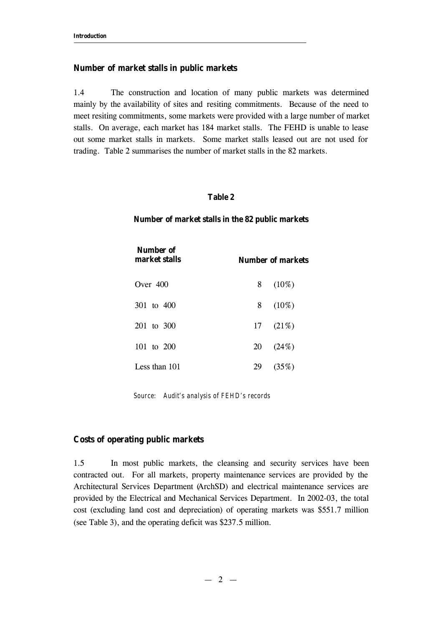#### **Number of market stalls in public markets**

1.4 The construction and location of many public markets was determined mainly by the availability of sites and resiting commitments. Because of the need to meet resiting commitments, some markets were provided with a large number of market stalls. On average, each market has 184 market stalls. The FEHD is unable to lease out some market stalls in markets. Some market stalls leased out are not used for trading. Table 2 summarises the number of market stalls in the 82 markets.

#### **Table 2**

#### **Number of market stalls in the 82 public markets**

| Number of<br>market stalls |    | Number of markets |
|----------------------------|----|-------------------|
| Over $400$                 | 8  | $(10\%)$          |
| 301 to 400                 | 8  | $(10\%)$          |
| 201 to 300                 |    | 17(21%)           |
| 101 to 200                 | 20 | (24%)             |
| Less than 101              | 29 | (35%)             |

*Source: Audit's analysis of FEHD's records*

#### **Costs of operating public markets**

1.5 In most public markets, the cleansing and security services have been contracted out. For all markets, property maintenance services are provided by the Architectural Services Department (ArchSD) and electrical maintenance services are provided by the Electrical and Mechanical Services Department. In 2002-03, the total cost (excluding land cost and depreciation) of operating markets was \$551.7 million (see Table 3), and the operating deficit was \$237.5 million.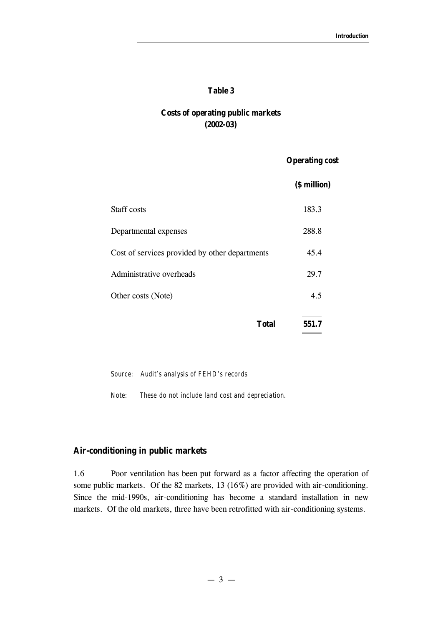#### **Table 3**

## **Costs of operating public markets (2002-03)**

#### **Operating cost**

|                                                | (\$ million) |
|------------------------------------------------|--------------|
| <b>Staff costs</b>                             | 183.3        |
| Departmental expenses                          | 288.8        |
| Cost of services provided by other departments | 45.4         |
| Administrative overheads                       | 29.7         |
| Other costs (Note)                             | 4.5          |
| <b>Total</b>                                   | 551.7        |

*Source: Audit's analysis of FEHD's records*

*Note: These do not include land cost and depreciation.*

#### **Air-conditioning in public markets**

1.6 Poor ventilation has been put forward as a factor affecting the operation of some public markets. Of the 82 markets, 13 (16%) are provided with air-conditioning. Since the mid-1990s, air-conditioning has become a standard installation in new markets. Of the old markets, three have been retrofitted with air-conditioning systems.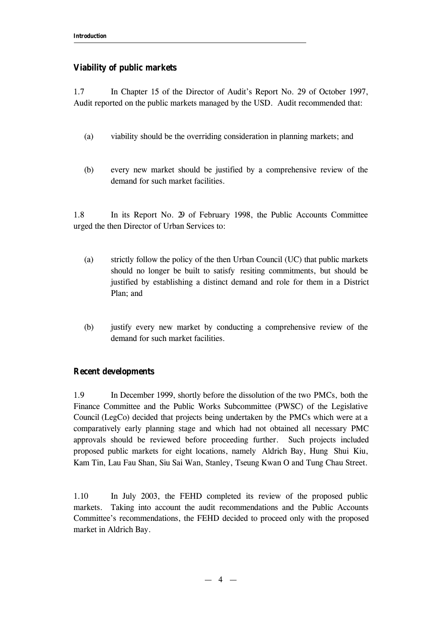## **Viability of public markets**

1.7 In Chapter 15 of the Director of Audit's Report No. 29 of October 1997, Audit reported on the public markets managed by the USD. Audit recommended that:

- (a) viability should be the overriding consideration in planning markets; and
- (b) every new market should be justified by a comprehensive review of the demand for such market facilities.

1.8 In its Report No. 29 of February 1998, the Public Accounts Committee urged the then Director of Urban Services to:

- (a) strictly follow the policy of the then Urban Council (UC) that public markets should no longer be built to satisfy resiting commitments, but should be justified by establishing a distinct demand and role for them in a District Plan; and
- (b) justify every new market by conducting a comprehensive review of the demand for such market facilities.

#### **Recent developments**

1.9 In December 1999, shortly before the dissolution of the two PMCs, both the Finance Committee and the Public Works Subcommittee (PWSC) of the Legislative Council (LegCo) decided that projects being undertaken by the PMCs which were at a comparatively early planning stage and which had not obtained all necessary PMC approvals should be reviewed before proceeding further. Such projects included proposed public markets for eight locations, namely Aldrich Bay, Hung Shui Kiu, Kam Tin, Lau Fau Shan, Siu Sai Wan, Stanley, Tseung Kwan O and Tung Chau Street.

1.10 In July 2003, the FEHD completed its review of the proposed public markets. Taking into account the audit recommendations and the Public Accounts Committee's recommendations, the FEHD decided to proceed only with the proposed market in Aldrich Bay.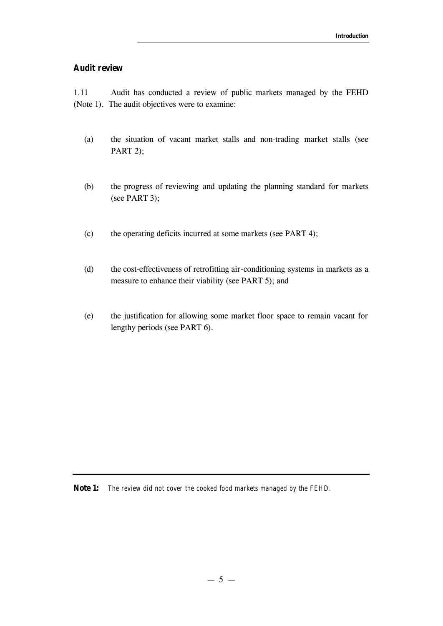#### **Audit review**

1.11 Audit has conducted a review of public markets managed by the FEHD (Note 1). The audit objectives were to examine:

- (a) the situation of vacant market stalls and non-trading market stalls (see PART 2);
- (b) the progress of reviewing and updating the planning standard for markets (see PART 3);
- (c) the operating deficits incurred at some markets (see PART 4);
- (d) the cost-effectiveness of retrofitting air-conditioning systems in markets as a measure to enhance their viability (see PART 5); and
- (e) the justification for allowing some market floor space to remain vacant for lengthy periods (see PART 6).

**Note 1:** *The review did not cover the cooked food markets managed by the FEHD.*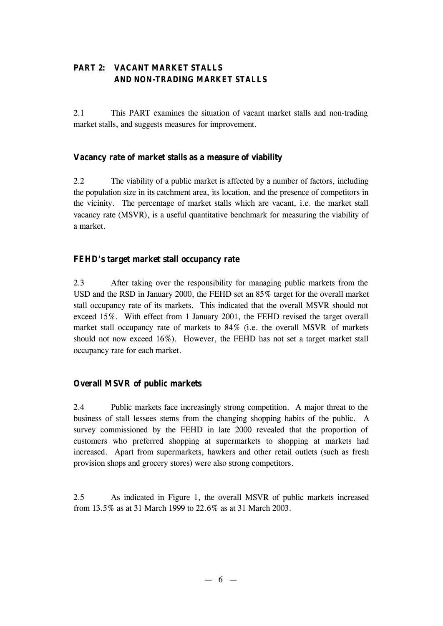## **PART 2: VACANT MARKET STALLS AND NON-TRADING MARKET STALLS**

2.1 This PART examines the situation of vacant market stalls and non-trading market stalls, and suggests measures for improvement.

## **Vacancy rate of market stalls as a measure of viability**

2.2 The viability of a public market is affected by a number of factors, including the population size in its catchment area, its location, and the presence of competitors in the vicinity. The percentage of market stalls which are vacant, i.e. the market stall vacancy rate (MSVR), is a useful quantitative benchmark for measuring the viability of a market.

## **FEHD's target market stall occupancy rate**

2.3 After taking over the responsibility for managing public markets from the USD and the RSD in January 2000, the FEHD set an 85% target for the overall market stall occupancy rate of its markets. This indicated that the overall MSVR should not exceed 15%. With effect from 1 January 2001, the FEHD revised the target overall market stall occupancy rate of markets to 84% (i.e. the overall MSVR of markets should not now exceed 16%). However, the FEHD has not set a target market stall occupancy rate for each market.

## **Overall MSVR of public markets**

2.4 Public markets face increasingly strong competition. A major threat to the business of stall lessees stems from the changing shopping habits of the public. A survey commissioned by the FEHD in late 2000 revealed that the proportion of customers who preferred shopping at supermarkets to shopping at markets had increased. Apart from supermarkets, hawkers and other retail outlets (such as fresh provision shops and grocery stores) were also strong competitors.

2.5 As indicated in Figure 1, the overall MSVR of public markets increased from 13.5% as at 31 March 1999 to 22.6% as at 31 March 2003.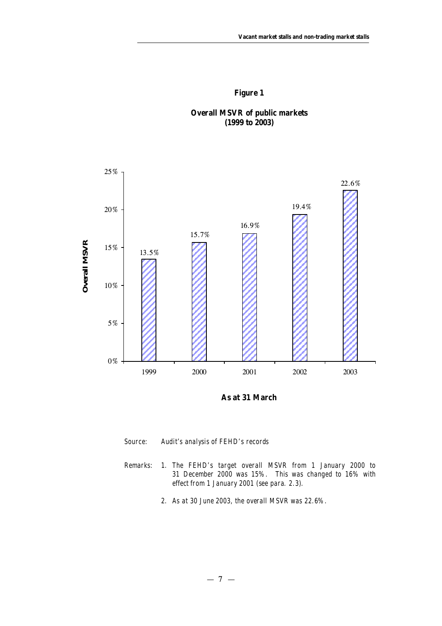







- *Source: Audit's analysis of FEHD's records*
- *Remarks: 1. The FEHD's target overall MSVR from 1 January 2000 to 31 December 2000 was 15%. This was changed to 16% with effect from 1 January 2001 (see para. 2.3).* 
	- *2. As at 30 June 2003, the overall MSVR was 22.6%.*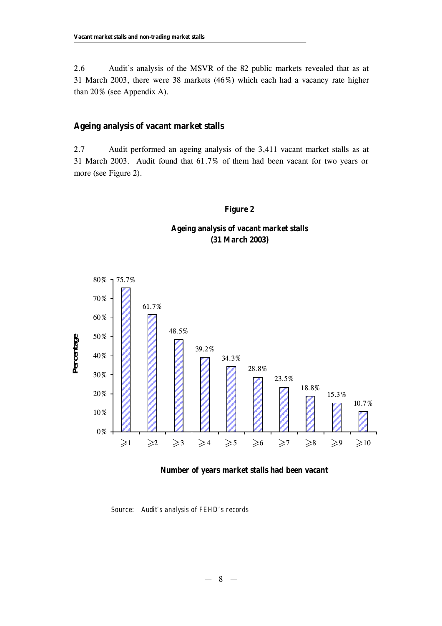2.6 Audit's analysis of the MSVR of the 82 public markets revealed that as at 31 March 2003, there were 38 markets (46%) which each had a vacancy rate higher than 20% (see Appendix A).

#### **Ageing analysis of vacant market stalls**

2.7 Audit performed an ageing analysis of the 3,411 vacant market stalls as at 31 March 2003. Audit found that 61.7% of them had been vacant for two years or more (see Figure 2).

#### **Figure 2**

## **Ageing analysis of vacant market stalls (31 March 2003)**



#### **Number of years market stalls had been vacant**

*Source: Audit's analysis of FEHD's records*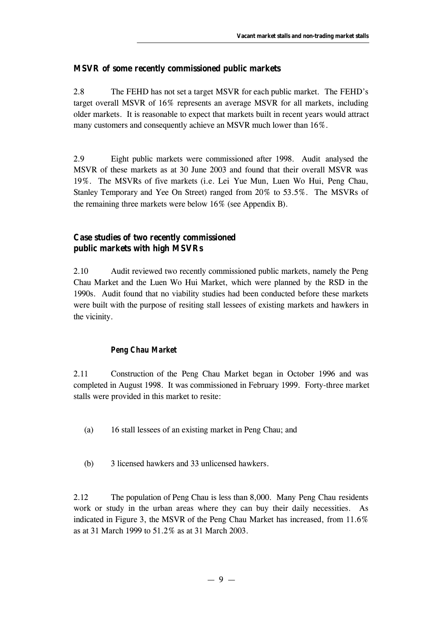## **MSVR of some recently commissioned public markets**

2.8 The FEHD has not set a target MSVR for each public market. The FEHD's target overall MSVR of 16% represents an average MSVR for all markets, including older markets. It is reasonable to expect that markets built in recent years would attract many customers and consequently achieve an MSVR much lower than 16%.

2.9 Eight public markets were commissioned after 1998. Audit analysed the MSVR of these markets as at 30 June 2003 and found that their overall MSVR was 19%. The MSVRs of five markets (i.e. Lei Yue Mun, Luen Wo Hui, Peng Chau, Stanley Temporary and Yee On Street) ranged from 20% to 53.5%. The MSVRs of the remaining three markets were below 16% (see Appendix B).

## **Case studies of two recently commissioned public markets with high MSVRs**

2.10 Audit reviewed two recently commissioned public markets, namely the Peng Chau Market and the Luen Wo Hui Market, which were planned by the RSD in the 1990s. Audit found that no viability studies had been conducted before these markets were built with the purpose of resiting stall lessees of existing markets and hawkers in the vicinity.

## *Peng Chau Market*

2.11 Construction of the Peng Chau Market began in October 1996 and was completed in August 1998. It was commissioned in February 1999. Forty-three market stalls were provided in this market to resite:

- (a) 16 stall lessees of an existing market in Peng Chau; and
- (b) 3 licensed hawkers and 33 unlicensed hawkers.

2.12 The population of Peng Chau is less than 8,000. Many Peng Chau residents work or study in the urban areas where they can buy their daily necessities. As indicated in Figure 3, the MSVR of the Peng Chau Market has increased, from 11.6% as at 31 March 1999 to 51.2% as at 31 March 2003.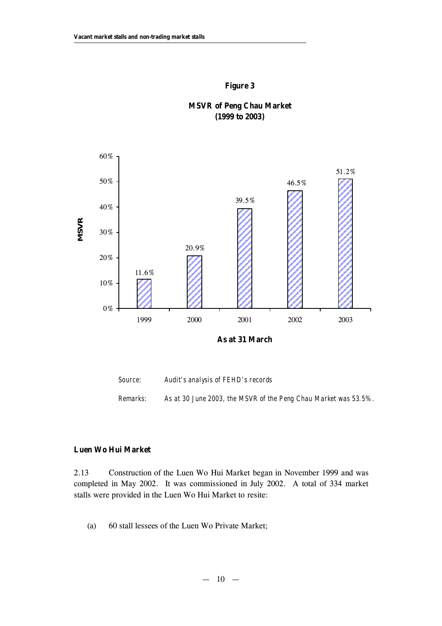



**MSVR of Peng Chau Market (1999 to 2003)** 





## **Luen Wo Hui Market**

2.13 Construction of the Luen Wo Hui Market began in November 1999 and was completed in May 2002. It was commissioned in July 2002. A total of 334 market stalls were provided in the Luen Wo Hui Market to resite:

(a) 60 stall lessees of the Luen Wo Private Market;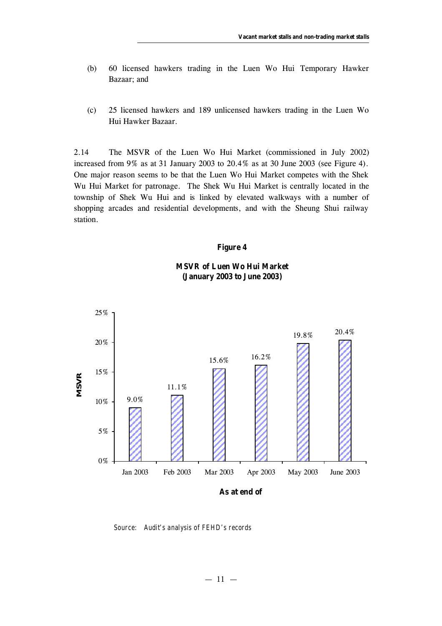- (b) 60 licensed hawkers trading in the Luen Wo Hui Temporary Hawker Bazaar; and
- (c) 25 licensed hawkers and 189 unlicensed hawkers trading in the Luen Wo Hui Hawker Bazaar.

2.14 The MSVR of the Luen Wo Hui Market (commissioned in July 2002) increased from 9% as at 31 January 2003 to 20.4% as at 30 June 2003 (see Figure 4). One major reason seems to be that the Luen Wo Hui Market competes with the Shek Wu Hui Market for patronage. The Shek Wu Hui Market is centrally located in the township of Shek Wu Hui and is linked by elevated walkways with a number of shopping arcades and residential developments, and with the Sheung Shui railway station.

#### **Figure 4**

## **MSVR of Luen Wo Hui Market (January 2003 to June 2003)**



*Source: Audit's analysis of FEHD's records*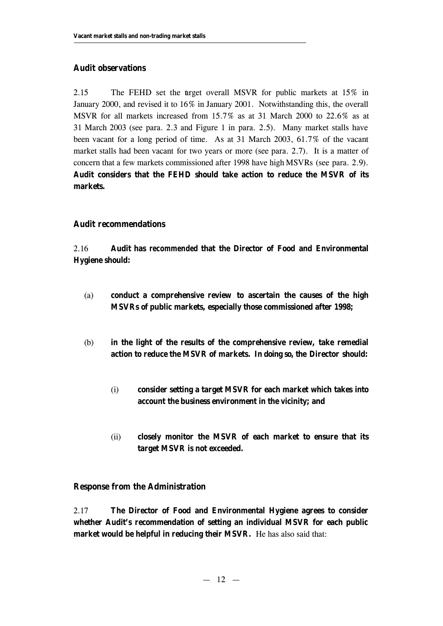## **Audit observations**

2.15 The FEHD set the arget overall MSVR for public markets at 15% in January 2000, and revised it to 16% in January 2001. Notwithstanding this, the overall MSVR for all markets increased from 15.7% as at 31 March 2000 to 22.6% as at 31 March 2003 (see para. 2.3 and Figure 1 in para. 2.5). Many market stalls have been vacant for a long period of time. As at 31 March 2003, 61.7% of the vacant market stalls had been vacant for two years or more (see para. 2.7). It is a matter of concern that a few markets commissioned after 1998 have high MSVRs (see para. 2.9). **Audit considers that the FEHD should take action to reduce the MSVR of its markets.**

## **Audit recommendations**

2.16 **Audit has** *recommended* **that the Director of Food and Environmental Hygiene should:**

- (a) **conduct a comprehensive review to ascertain the causes of the high MSVRs of public markets, especially those commissioned after 1998;**
- (b) **in the light of the results of the comprehensive review, take remedial action to reduce the MSVR of markets. In doing so, the Director should:**
	- (i) **consider setting a target MSVR for each market which takes into account the business environment in the vicinity; and**
	- (ii) **closely monitor the MSVR of each market to ensure that its target MSVR is not exceeded.**

## **Response from the Administration**

2.17 **The Director of Food and Environmental Hygiene agrees to consider whether Audit's recommendation of setting an individual MSVR for each public market would be helpful in reducing their MSVR.** He has also said that: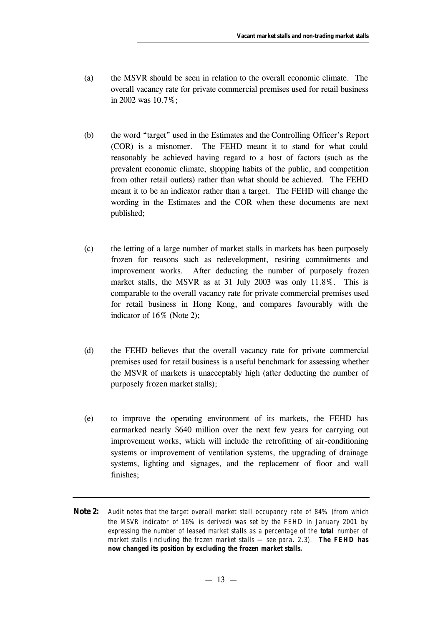- (a) the MSVR should be seen in relation to the overall economic climate. The overall vacancy rate for private commercial premises used for retail business in 2002 was 10.7%;
- (b) the word "target" used in the Estimates and the Controlling Officer's Report (COR) is a misnomer. The FEHD meant it to stand for what could reasonably be achieved having regard to a host of factors (such as the prevalent economic climate, shopping habits of the public, and competition from other retail outlets) rather than what should be achieved. The FEHD meant it to be an indicator rather than a target. The FEHD will change the wording in the Estimates and the COR when these documents are next published;
- (c) the letting of a large number of market stalls in markets has been purposely frozen for reasons such as redevelopment, resiting commitments and improvement works. After deducting the number of purposely frozen market stalls, the MSVR as at 31 July 2003 was only 11.8%. This is comparable to the overall vacancy rate for private commercial premises used for retail business in Hong Kong, and compares favourably with the indicator of 16% (Note 2);
- (d) the FEHD believes that the overall vacancy rate for private commercial premises used for retail business is a useful benchmark for assessing whether the MSVR of markets is unacceptably high (after deducting the number of purposely frozen market stalls);
- (e) to improve the operating environment of its markets, the FEHD has earmarked nearly \$640 million over the next few years for carrying out improvement works, which will include the retrofitting of air-conditioning systems or improvement of ventilation systems, the upgrading of drainage systems, lighting and signages, and the replacement of floor and wall finishes;
- **Note 2:** *Audit notes that the target overall market stall occupancy rate of 84% (from which the MSVR indicator of 16% is derived) was set by the FEHD in January 2001 by expressing the number of leased market stalls as a percentage of the total number of market stalls (including the frozen market stalls — see para. 2.3). The FEHD has now changed its position by excluding the frozen market stalls.*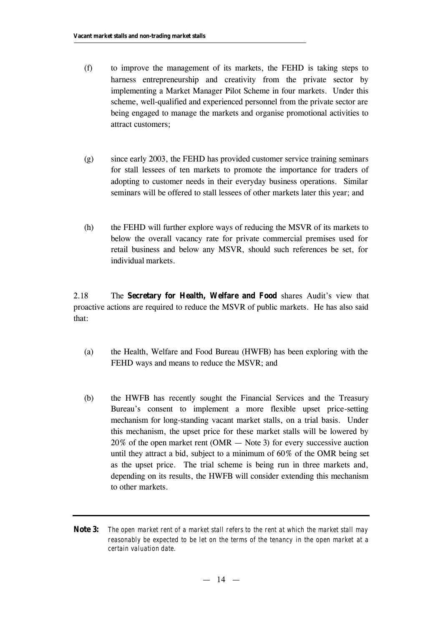- (f) to improve the management of its markets, the FEHD is taking steps to harness entrepreneurship and creativity from the private sector by implementing a Market Manager Pilot Scheme in four markets. Under this scheme, well-qualified and experienced personnel from the private sector are being engaged to manage the markets and organise promotional activities to attract customers;
- (g) since early 2003, the FEHD has provided customer service training seminars for stall lessees of ten markets to promote the importance for traders of adopting to customer needs in their everyday business operations. Similar seminars will be offered to stall lessees of other markets later this year; and
- (h) the FEHD will further explore ways of reducing the MSVR of its markets to below the overall vacancy rate for private commercial premises used for retail business and below any MSVR, should such references be set, for individual markets.

2.18 The **Secretary for Health, Welfare and Food** shares Audit's view that proactive actions are required to reduce the MSVR of public markets. He has also said that:

- (a) the Health, Welfare and Food Bureau (HWFB) has been exploring with the FEHD ways and means to reduce the MSVR; and
- (b) the HWFB has recently sought the Financial Services and the Treasury Bureau's consent to implement a more flexible upset price-setting mechanism for long-standing vacant market stalls, on a trial basis. Under this mechanism, the upset price for these market stalls will be lowered by 20% of the open market rent (OMR — Note 3) for every successive auction until they attract a bid, subject to a minimum of 60% of the OMR being set as the upset price. The trial scheme is being run in three markets and, depending on its results, the HWFB will consider extending this mechanism to other markets.
- **Note 3:** *The open market rent of a market stall refers to the rent at which the market stall may reasonably be expected to be let on the terms of the tenancy in the open market at a certain valuation date.*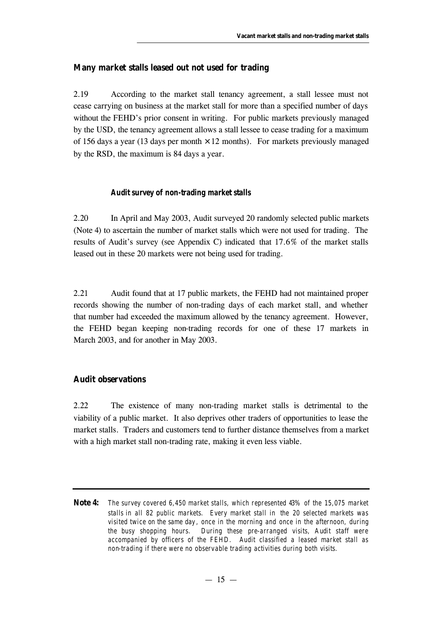## **Many market stalls leased out not used for trading**

2.19 According to the market stall tenancy agreement, a stall lessee must not cease carrying on business at the market stall for more than a specified number of days without the FEHD's prior consent in writing. For public markets previously managed by the USD, the tenancy agreement allows a stall lessee to cease trading for a maximum of 156 days a year (13 days per month  $\times$  12 months). For markets previously managed by the RSD, the maximum is 84 days a year.

#### *Audit survey of non-trading market stalls*

2.20 In April and May 2003, Audit surveyed 20 randomly selected public markets (Note 4) to ascertain the number of market stalls which were not used for trading. The results of Audit's survey (see Appendix C) indicated that 17.6% of the market stalls leased out in these 20 markets were not being used for trading.

2.21 Audit found that at 17 public markets, the FEHD had not maintained proper records showing the number of non-trading days of each market stall, and whether that number had exceeded the maximum allowed by the tenancy agreement. However, the FEHD began keeping non-trading records for one of these 17 markets in March 2003, and for another in May 2003.

#### **Audit observations**

2.22 The existence of many non-trading market stalls is detrimental to the viability of a public market. It also deprives other traders of opportunities to lease the market stalls. Traders and customers tend to further distance themselves from a market with a high market stall non-trading rate, making it even less viable.

**Note 4:** *The survey covered 6,450 market stalls, which represented 43% of the 15,075 market stalls in all 82 public markets. Every market stall in the 20 selected markets was visited twice on the same day , once in the morning and once in the afternoon, during the busy shopping hours. During these pre-arranged visits, Audit staff were accompanied by officers of the FEHD. Audit classified a leased market stall as non-trading if there were no observable trading activities during both visits.*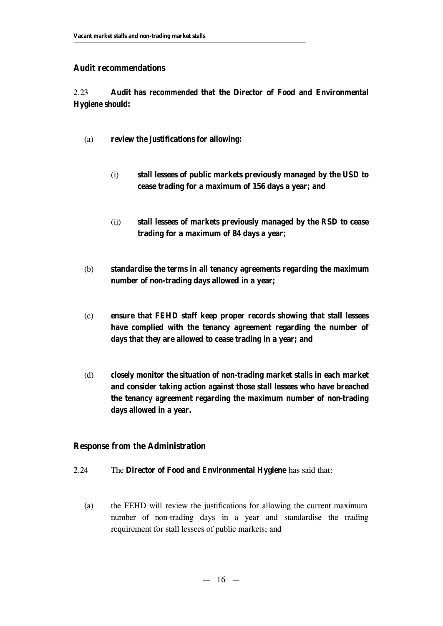## **Audit recommendations**

2.23 **Audit has** *recommended* **that the Director of Food and Environmental Hygiene should:**

- (a) **review the justifications for allowing:**
	- (i) **stall lessees of public markets previously managed by the USD to cease trading for a maximum of 156 days a year; and**
	- (ii) **stall lessees of markets previously managed by the RSD to cease trading for a maximum of 84 days a year;**
- (b) **standardise the terms in all tenancy agreements regarding the maximum number of non-trading days allowed in a year;**
- (c) **ensure that FEHD staff keep proper records showing that stall lessees have complied with the tenancy agreement regarding the number of days that they are allowed to cease trading in a year; and**
- (d) **closely monitor the situation of non-trading market stalls in each market and consider taking action against those stall lessees who have breached the tenancy agreement regarding the maximum number of non-trading days allowed in a year.**

## **Response from the Administration**

- 2.24 The **Director of Food and Environmental Hygiene** has said that:
	- (a) the FEHD will review the justifications for allowing the current maximum number of non-trading days in a year and standardise the trading requirement for stall lessees of public markets; and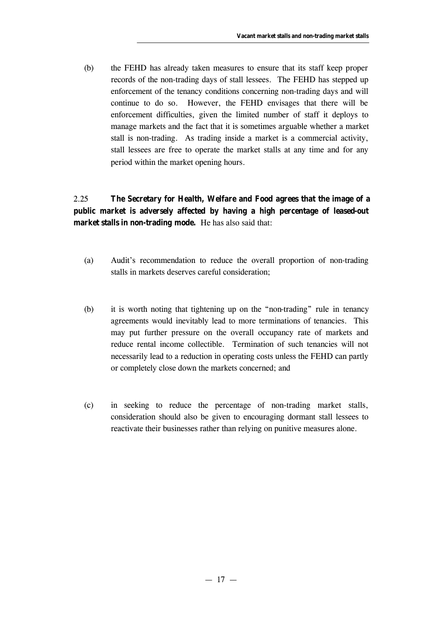(b) the FEHD has already taken measures to ensure that its staff keep proper records of the non-trading days of stall lessees. The FEHD has stepped up enforcement of the tenancy conditions concerning non-trading days and will continue to do so. However, the FEHD envisages that there will be enforcement difficulties, given the limited number of staff it deploys to manage markets and the fact that it is sometimes arguable whether a market stall is non-trading. As trading inside a market is a commercial activity, stall lessees are free to operate the market stalls at any time and for any period within the market opening hours.

## 2.25 **The Secretary for Health, Welfare and Food agrees that the image of a public market is adversely affected by having a high percentage of leased-out market stalls in non-trading mode.** He has also said that:

- (a) Audit's recommendation to reduce the overall proportion of non-trading stalls in markets deserves careful consideration;
- (b) it is worth noting that tightening up on the "non-trading" rule in tenancy agreements would inevitably lead to more terminations of tenancies. This may put further pressure on the overall occupancy rate of markets and reduce rental income collectible. Termination of such tenancies will not necessarily lead to a reduction in operating costs unless the FEHD can partly or completely close down the markets concerned; and
- (c) in seeking to reduce the percentage of non-trading market stalls, consideration should also be given to encouraging dormant stall lessees to reactivate their businesses rather than relying on punitive measures alone.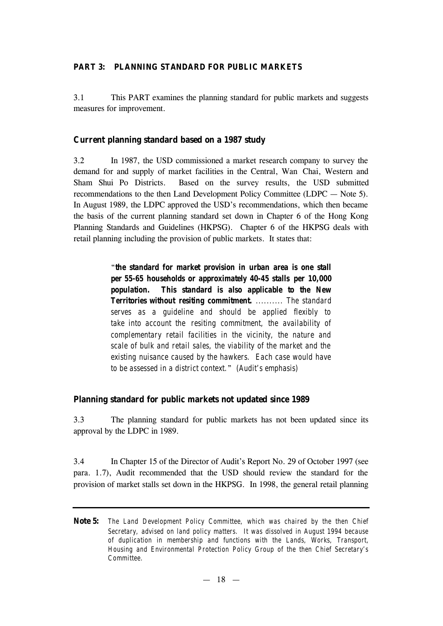#### **PART 3: PLANNING STANDARD FOR PUBLIC MARKETS**

3.1 This PART examines the planning standard for public markets and suggests measures for improvement.

#### **Current planning standard based on a 1987 study**

3.2 In 1987, the USD commissioned a market research company to survey the demand for and supply of market facilities in the Central, Wan Chai, Western and Sham Shui Po Districts. Based on the survey results, the USD submitted recommendations to the then Land Development Policy Committee (LDPC — Note 5). In August 1989, the LDPC approved the USD's recommendations, which then became the basis of the current planning standard set down in Chapter 6 of the Hong Kong Planning Standards and Guidelines (HKPSG). Chapter 6 of the HKPSG deals with retail planning including the provision of public markets. It states that:

> "*the standard for market provision in urban area is one stall per 55-65 households or approximately 40-45 stalls per 10,000 population. This standard is also applicable to the New Territories without resiting commitment. .......... The standard serves as a guideline and should be applied flexibly to take into account the resiting commitment, the availability of complementary retail facilities in the vicinity, the nature and scale of bulk and retail sales, the viability of the market and the existing nuisance caused by the hawkers. Each case would have to be assessed in a district context.*" *(Audit's emphasis)*

## **Planning standard for public markets not updated since 1989**

3.3 The planning standard for public markets has not been updated since its approval by the LDPC in 1989.

3.4 In Chapter 15 of the Director of Audit's Report No. 29 of October 1997 (see para. 1.7), Audit recommended that the USD should review the standard for the provision of market stalls set down in the HKPSG. In 1998, the general retail planning

**Note 5:** *The Land Development Policy Committee, which was chaired by the then Chief Secretary, advised on land policy matters. It was dissolved in August 1994 because of duplication in membership and functions with the Lands, Works, Transport, Housing and Environmental Protection Policy Group of the then Chief Secretary's Committee.*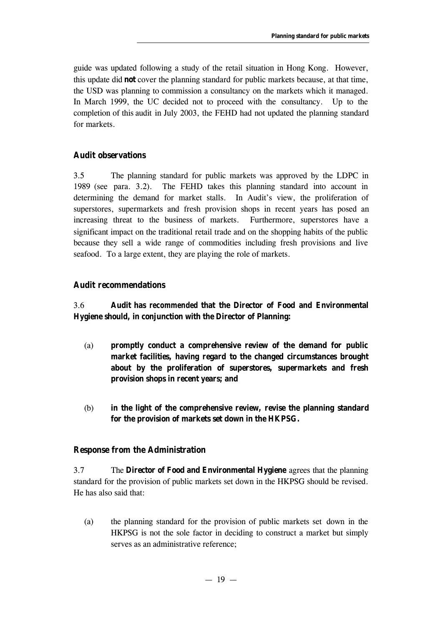guide was updated following a study of the retail situation in Hong Kong. However, this update did **not** cover the planning standard for public markets because, at that time, the USD was planning to commission a consultancy on the markets which it managed. In March 1999, the UC decided not to proceed with the consultancy. Up to the completion of this audit in July 2003, the FEHD had not updated the planning standard for markets.

## **Audit observations**

3.5 The planning standard for public markets was approved by the LDPC in 1989 (see para. 3.2). The FEHD takes this planning standard into account in determining the demand for market stalls. In Audit's view, the proliferation of superstores, supermarkets and fresh provision shops in recent years has posed an increasing threat to the business of markets. Furthermore, superstores have a significant impact on the traditional retail trade and on the shopping habits of the public because they sell a wide range of commodities including fresh provisions and live seafood. To a large extent, they are playing the role of markets.

## **Audit recommendations**

## 3.6 **Audit has** *recommended* **that the Director of Food and Environmental Hygiene should, in conjunction with the Director of Planning:**

- (a) **promptly conduct a comprehensive review of the demand for public market facilities, having regard to the changed circumstances brought about by the proliferation of superstores, supermarkets and fresh provision shops in recent years; and**
- (b) **in the light of the comprehensive review, revise the planning standard for the provision of markets set down in the HKPSG.**

## **Response from the Administration**

3.7 The **Director of Food and Environmental Hygiene** agrees that the planning standard for the provision of public markets set down in the HKPSG should be revised. He has also said that:

(a) the planning standard for the provision of public markets set down in the HKPSG is not the sole factor in deciding to construct a market but simply serves as an administrative reference;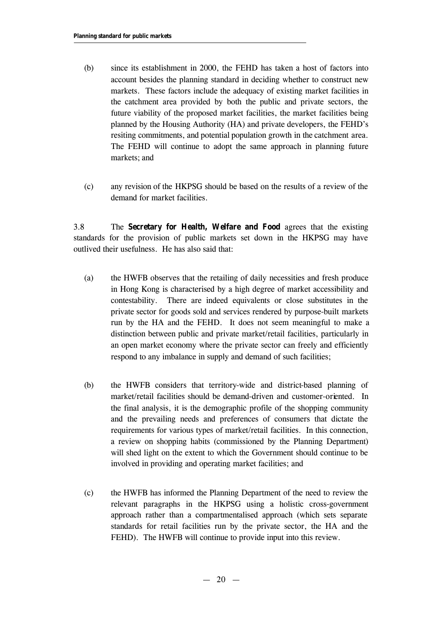- (b) since its establishment in 2000, the FEHD has taken a host of factors into account besides the planning standard in deciding whether to construct new markets. These factors include the adequacy of existing market facilities in the catchment area provided by both the public and private sectors, the future viability of the proposed market facilities, the market facilities being planned by the Housing Authority (HA) and private developers, the FEHD's resiting commitments, and potential population growth in the catchment area. The FEHD will continue to adopt the same approach in planning future markets; and
- (c) any revision of the HKPSG should be based on the results of a review of the demand for market facilities.

3.8 The **Secretary for Health, Welfare and Food** agrees that the existing standards for the provision of public markets set down in the HKPSG may have outlived their usefulness. He has also said that:

- (a) the HWFB observes that the retailing of daily necessities and fresh produce in Hong Kong is characterised by a high degree of market accessibility and contestability. There are indeed equivalents or close substitutes in the private sector for goods sold and services rendered by purpose-built markets run by the HA and the FEHD. It does not seem meaningful to make a distinction between public and private market/retail facilities, particularly in an open market economy where the private sector can freely and efficiently respond to any imbalance in supply and demand of such facilities;
- (b) the HWFB considers that territory-wide and district-based planning of market/retail facilities should be demand-driven and customer-oriented. In the final analysis, it is the demographic profile of the shopping community and the prevailing needs and preferences of consumers that dictate the requirements for various types of market/retail facilities. In this connection, a review on shopping habits (commissioned by the Planning Department) will shed light on the extent to which the Government should continue to be involved in providing and operating market facilities; and
- (c) the HWFB has informed the Planning Department of the need to review the relevant paragraphs in the HKPSG using a holistic cross-government approach rather than a compartmentalised approach (which sets separate standards for retail facilities run by the private sector, the HA and the FEHD). The HWFB will continue to provide input into this review.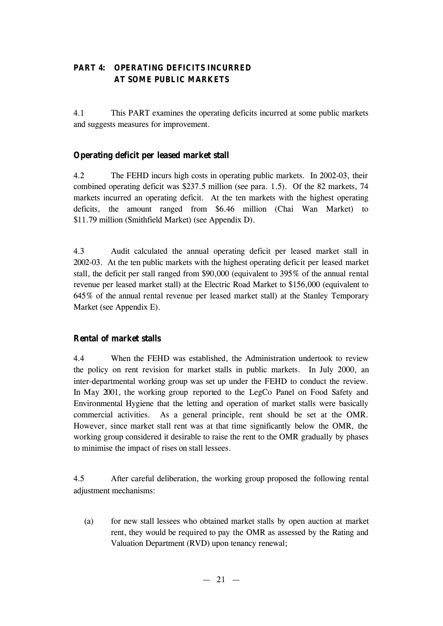## **PART 4: OPERATING DEFICITS INCURRED AT SOME PUBLIC MARKETS**

4.1 This PART examines the operating deficits incurred at some public markets and suggests measures for improvement.

## **Operating deficit per leased market stall**

4.2 The FEHD incurs high costs in operating public markets. In 2002-03, their combined operating deficit was \$237.5 million (see para. 1.5). Of the 82 markets, 74 markets incurred an operating deficit. At the ten markets with the highest operating deficits, the amount ranged from \$6.46 million (Chai Wan Market) to \$11.79 million (Smithfield Market) (see Appendix D).

4.3 Audit calculated the annual operating deficit per leased market stall in 2002-03. At the ten public markets with the highest operating deficit per leased market stall, the deficit per stall ranged from \$90,000 (equivalent to 395% of the annual rental revenue per leased market stall) at the Electric Road Market to \$156,000 (equivalent to 645% of the annual rental revenue per leased market stall) at the Stanley Temporary Market (see Appendix E).

## **Rental of market stalls**

4.4 When the FEHD was established, the Administration undertook to review the policy on rent revision for market stalls in public markets. In July 2000, an inter-departmental working group was set up under the FEHD to conduct the review. In May 2001, the working group reported to the LegCo Panel on Food Safety and Environmental Hygiene that the letting and operation of market stalls were basically commercial activities. As a general principle, rent should be set at the OMR. However, since market stall rent was at that time significantly below the OMR, the working group considered it desirable to raise the rent to the OMR gradually by phases to minimise the impact of rises on stall lessees.

4.5 After careful deliberation, the working group proposed the following rental adjustment mechanisms:

(a) for new stall lessees who obtained market stalls by open auction at market rent, they would be required to pay the OMR as assessed by the Rating and Valuation Department (RVD) upon tenancy renewal;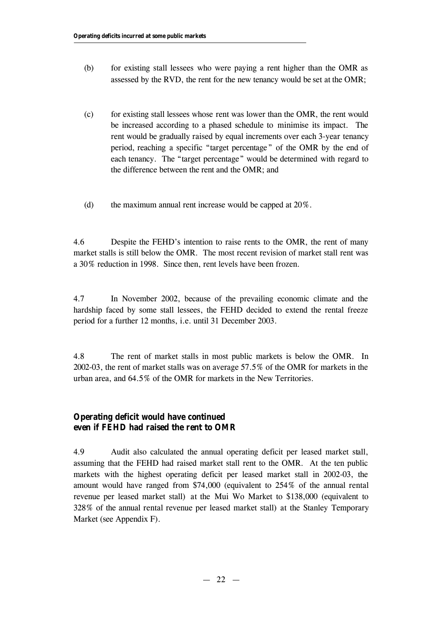- (b) for existing stall lessees who were paying a rent higher than the OMR as assessed by the RVD, the rent for the new tenancy would be set at the OMR;
- (c) for existing stall lessees whose rent was lower than the OMR, the rent would be increased according to a phased schedule to minimise its impact. The rent would be gradually raised by equal increments over each 3-year tenancy period, reaching a specific "target percentage" of the OMR by the end of each tenancy. The "target percentage" would be determined with regard to the difference between the rent and the OMR; and
- (d) the maximum annual rent increase would be capped at 20%.

4.6 Despite the FEHD's intention to raise rents to the OMR, the rent of many market stalls is still below the OMR. The most recent revision of market stall rent was a 30% reduction in 1998. Since then, rent levels have been frozen.

4.7 In November 2002, because of the prevailing economic climate and the hardship faced by some stall lessees, the FEHD decided to extend the rental freeze period for a further 12 months, i.e. until 31 December 2003.

4.8 The rent of market stalls in most public markets is below the OMR. In 2002-03, the rent of market stalls was on average 57.5% of the OMR for markets in the urban area, and 64.5% of the OMR for markets in the New Territories.

## **Operating deficit would have continued even if FEHD had raised the rent to OMR**

4.9 Audit also calculated the annual operating deficit per leased market stall, assuming that the FEHD had raised market stall rent to the OMR. At the ten public markets with the highest operating deficit per leased market stall in 2002-03, the amount would have ranged from \$74,000 (equivalent to 254% of the annual rental revenue per leased market stall) at the Mui Wo Market to \$138,000 (equivalent to 328% of the annual rental revenue per leased market stall) at the Stanley Temporary Market (see Appendix F).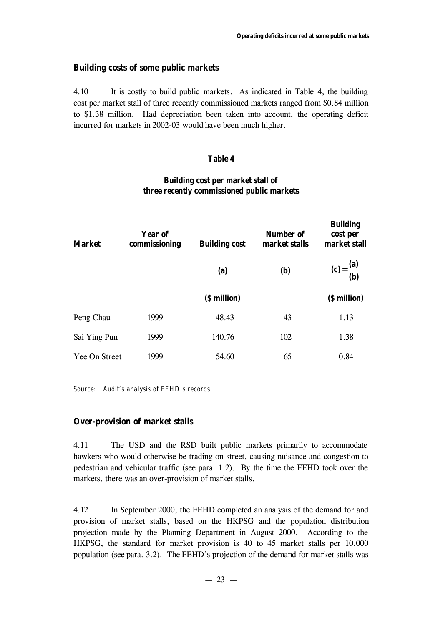## **Building costs of some public markets**

4.10 It is costly to build public markets. As indicated in Table 4, the building cost per market stall of three recently commissioned markets ranged from \$0.84 million to \$1.38 million. Had depreciation been taken into account, the operating deficit incurred for markets in 2002-03 would have been much higher.

#### **Table 4**

## **Building cost per market stall of three recently commissioned public markets**

| <b>Market</b> | Year of<br>commissioning | <b>Building cost</b> | <b>Number of</b><br>market stalls | <b>Building</b><br>cost per<br>market stall |
|---------------|--------------------------|----------------------|-----------------------------------|---------------------------------------------|
|               |                          | (a)                  | <b>(b)</b>                        | $(c) = \frac{(a)}{(b)}$                     |
|               |                          | (\$ million)         |                                   | (\$ million)                                |
| Peng Chau     | 1999                     | 48.43                | 43                                | 1.13                                        |
| Sai Ying Pun  | 1999                     | 140.76               | 102                               | 1.38                                        |
| Yee On Street | 1999                     | 54.60                | 65                                | 0.84                                        |

*Source: Audit's analysis of FEHD's records*

## **Over-provision of market stalls**

4.11 The USD and the RSD built public markets primarily to accommodate hawkers who would otherwise be trading on-street, causing nuisance and congestion to pedestrian and vehicular traffic (see para. 1.2). By the time the FEHD took over the markets, there was an over-provision of market stalls.

4.12 In September 2000, the FEHD completed an analysis of the demand for and provision of market stalls, based on the HKPSG and the population distribution projection made by the Planning Department in August 2000. According to the HKPSG, the standard for market provision is 40 to 45 market stalls per 10,000 population (see para. 3.2). The FEHD's projection of the demand for market stalls was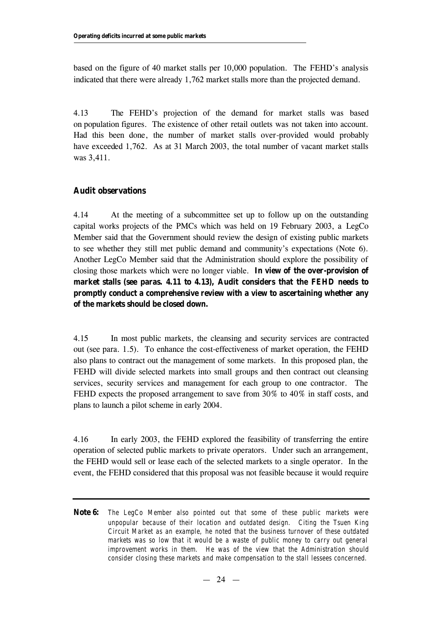based on the figure of 40 market stalls per 10,000 population. The FEHD's analysis indicated that there were already 1,762 market stalls more than the projected demand.

4.13 The FEHD's projection of the demand for market stalls was based on population figures. The existence of other retail outlets was not taken into account. Had this been done, the number of market stalls over-provided would probably have exceeded 1,762. As at 31 March 2003, the total number of vacant market stalls was 3,411.

#### **Audit observations**

4.14 At the meeting of a subcommittee set up to follow up on the outstanding capital works projects of the PMCs which was held on 19 February 2003, a LegCo Member said that the Government should review the design of existing public markets to see whether they still met public demand and community's expectations (Note 6). Another LegCo Member said that the Administration should explore the possibility of closing those markets which were no longer viable. **In view of the over-provision of market stalls (see paras. 4.11 to 4.13), Audit considers that the FEHD needs to promptly conduct a comprehensive review with a view to ascertaining whether any of the markets should be closed down.**

4.15 In most public markets, the cleansing and security services are contracted out (see para. 1.5). To enhance the cost-effectiveness of market operation, the FEHD also plans to contract out the management of some markets. In this proposed plan, the FEHD will divide selected markets into small groups and then contract out cleansing services, security services and management for each group to one contractor. The FEHD expects the proposed arrangement to save from 30% to 40% in staff costs, and plans to launch a pilot scheme in early 2004.

4.16 In early 2003, the FEHD explored the feasibility of transferring the entire operation of selected public markets to private operators. Under such an arrangement, the FEHD would sell or lease each of the selected markets to a single operator. In the event, the FEHD considered that this proposal was not feasible because it would require

**Note 6:** *The LegCo Member also pointed out that some of these public markets were unpopular because of their location and outdated design. Citing the Tsuen King Circuit Market as an example, he noted that the business turnover of these outdated markets was so low that it would be a waste of public money to carry out general improvement works in them. He was of the view that the Administration should consider closing these markets and make compensation to the stall lessees concerned.*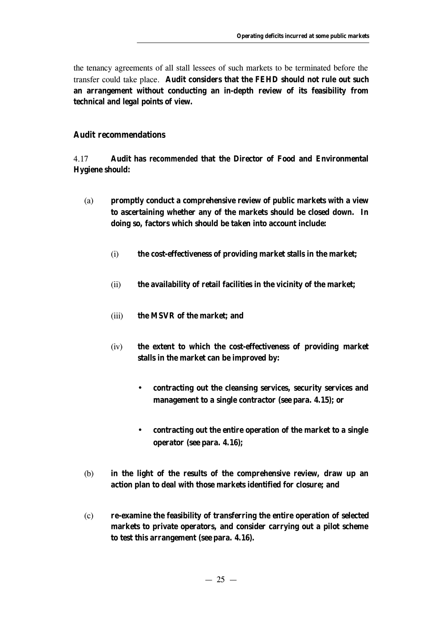the tenancy agreements of all stall lessees of such markets to be terminated before the transfer could take place. **Audit considers that the FEHD should not rule out such an arrangement without conducting an in-depth review of its feasibility from technical and legal points of view.**

#### **Audit recommendations**

4.17 **Audit has** *recommended* **that the Director of Food and Environmental Hygiene should:**

- (a) **promptly conduct a comprehensive review of public markets with a view to ascertaining whether any of the markets should be closed down. In doing so, factors which should be taken into account include:**
	- (i) **the cost-effectiveness of providing market stalls in the market;**
	- (ii) **the availability of retail facilities in the vicinity of the market;**
	- (iii) **the MSVR of the market; and**
	- (iv) **the extent to which the cost-effectiveness of providing market stalls in the market can be improved by:**
		- **contracting out the cleansing services, security services and management to a single contractor (see para. 4.15); or**
		- **contracting out the entire operation of the market to a single operator (see para. 4.16);**
- (b) **in the light of the results of the comprehensive review, draw up an action plan to deal with those markets identified for closure; and**
- (c) **re-examine the feasibility of transferring the entire operation of selected markets to private operators, and consider carrying out a pilot scheme to test this arrangement (see para. 4.16).**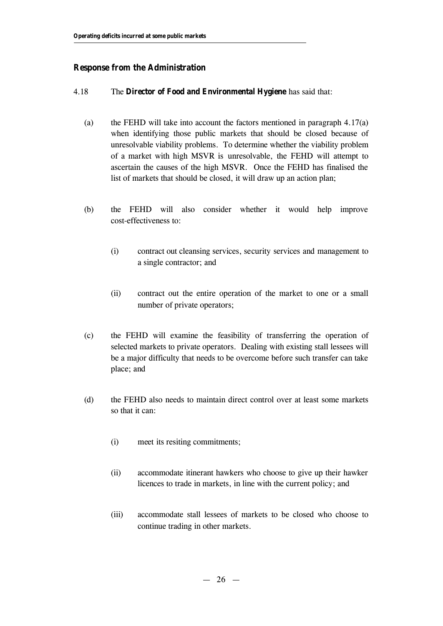## **Response from the Administration**

#### 4.18 The **Director of Food and Environmental Hygiene** has said that:

- (a) the FEHD will take into account the factors mentioned in paragraph 4.17(a) when identifying those public markets that should be closed because of unresolvable viability problems. To determine whether the viability problem of a market with high MSVR is unresolvable, the FEHD will attempt to ascertain the causes of the high MSVR. Once the FEHD has finalised the list of markets that should be closed, it will draw up an action plan;
- (b) the FEHD will also consider whether it would help improve cost-effectiveness to:
	- (i) contract out cleansing services, security services and management to a single contractor; and
	- (ii) contract out the entire operation of the market to one or a small number of private operators;
- (c) the FEHD will examine the feasibility of transferring the operation of selected markets to private operators. Dealing with existing stall lessees will be a major difficulty that needs to be overcome before such transfer can take place; and
- (d) the FEHD also needs to maintain direct control over at least some markets so that it can:
	- (i) meet its resiting commitments;
	- (ii) accommodate itinerant hawkers who choose to give up their hawker licences to trade in markets, in line with the current policy; and
	- (iii) accommodate stall lessees of markets to be closed who choose to continue trading in other markets.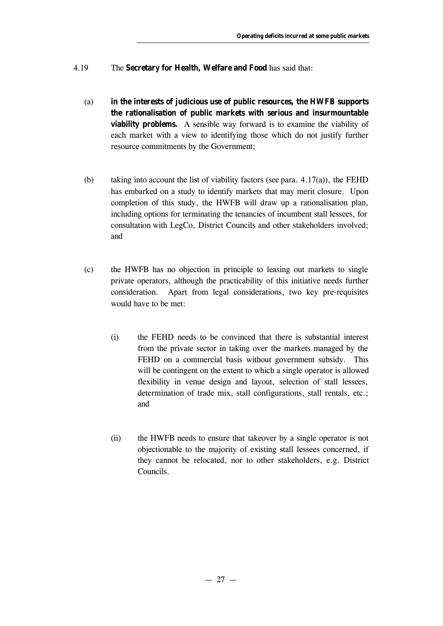- 4.19 The **Secretary for Health, Welfare and Food** has said that:
	- (a) **in the interests of judicious use of public resources, the HWFB supports the rationalisation of public markets with serious and insurmountable viability problems.** A sensible way forward is to examine the viability of each market with a view to identifying those which do not justify further resource commitments by the Government;
	- (b) taking into account the list of viability factors (see para.  $4.17(a)$ ), the FEHD has embarked on a study to identify markets that may merit closure. Upon completion of this study, the HWFB will draw up a rationalisation plan, including options for terminating the tenancies of incumbent stall lessees, for consultation with LegCo, District Councils and other stakeholders involved; and
	- (c) the HWFB has no objection in principle to leasing out markets to single private operators, although the practicability of this initiative needs further consideration. Apart from legal considerations, two key pre-requisites would have to be met:
		- (i) the FEHD needs to be convinced that there is substantial interest from the private sector in taking over the markets managed by the FEHD on a commercial basis without government subsidy. This will be contingent on the extent to which a single operator is allowed flexibility in venue design and layout, selection of stall lessees, determination of trade mix, stall configurations, stall rentals, etc.; and
		- (ii) the HWFB needs to ensure that takeover by a single operator is not objectionable to the majority of existing stall lessees concerned, if they cannot be relocated, nor to other stakeholders, e.g. District Councils.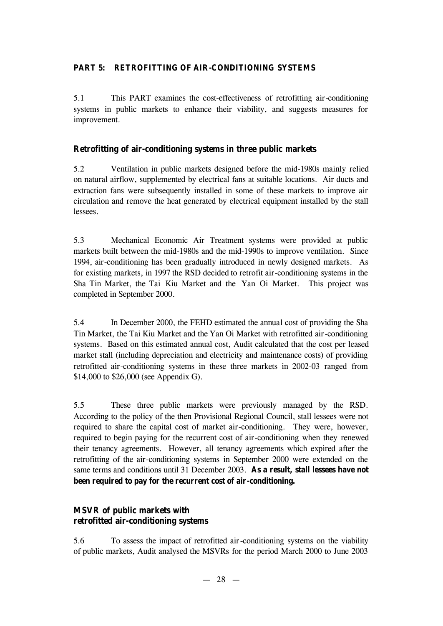## **PART 5: RETROFITTING OF AIR-CONDITIONING SYSTEMS**

5.1 This PART examines the cost-effectiveness of retrofitting air-conditioning systems in public markets to enhance their viability, and suggests measures for improvement.

## **Retrofitting of air-conditioning systems in three public markets**

5.2 Ventilation in public markets designed before the mid-1980s mainly relied on natural airflow, supplemented by electrical fans at suitable locations. Air ducts and extraction fans were subsequently installed in some of these markets to improve air circulation and remove the heat generated by electrical equipment installed by the stall lessees.

5.3 Mechanical Economic Air Treatment systems were provided at public markets built between the mid-1980s and the mid-1990s to improve ventilation. Since 1994, air-conditioning has been gradually introduced in newly designed markets. As for existing markets, in 1997 the RSD decided to retrofit air-conditioning systems in the Sha Tin Market, the Tai Kiu Market and the Yan Oi Market. This project was completed in September 2000.

5.4 In December 2000, the FEHD estimated the annual cost of providing the Sha Tin Market, the Tai Kiu Market and the Yan Oi Market with retrofitted air-conditioning systems. Based on this estimated annual cost, Audit calculated that the cost per leased market stall (including depreciation and electricity and maintenance costs) of providing retrofitted air-conditioning systems in these three markets in 2002-03 ranged from \$14,000 to \$26,000 (see Appendix G).

5.5 These three public markets were previously managed by the RSD. According to the policy of the then Provisional Regional Council, stall lessees were not required to share the capital cost of market air-conditioning. They were, however, required to begin paying for the recurrent cost of air-conditioning when they renewed their tenancy agreements. However, all tenancy agreements which expired after the retrofitting of the air-conditioning systems in September 2000 were extended on the same terms and conditions until 31 December 2003. **As a result, stall lessees have not been required to pay for the recurrent cost of air-conditioning.**

## **MSVR of public markets with retrofitted air-conditioning systems**

5.6 To assess the impact of retrofitted air-conditioning systems on the viability of public markets, Audit analysed the MSVRs for the period March 2000 to June 2003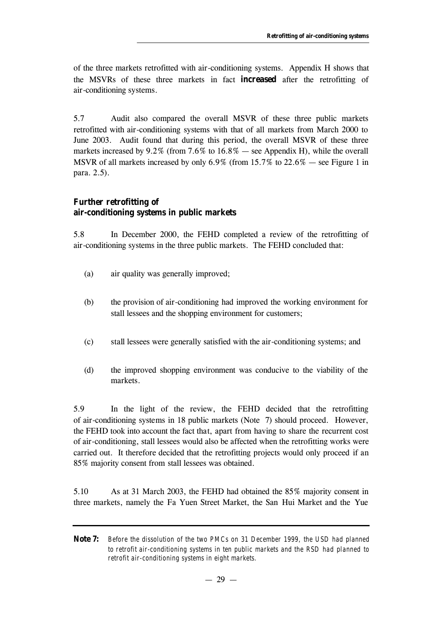of the three markets retrofitted with air-conditioning systems. Appendix H shows that the MSVRs of these three markets in fact **increased** after the retrofitting of air-conditioning systems.

5.7 Audit also compared the overall MSVR of these three public markets retrofitted with air-conditioning systems with that of all markets from March 2000 to June 2003. Audit found that during this period, the overall MSVR of these three markets increased by  $9.2\%$  (from  $7.6\%$  to  $16.8\%$  — see Appendix H), while the overall MSVR of all markets increased by only 6.9% (from 15.7% to 22.6% — see Figure 1 in para. 2.5).

## **Further retrofitting of air-conditioning systems in public markets**

5.8 In December 2000, the FEHD completed a review of the retrofitting of air-conditioning systems in the three public markets. The FEHD concluded that:

- (a) air quality was generally improved;
- (b) the provision of air-conditioning had improved the working environment for stall lessees and the shopping environment for customers;
- (c) stall lessees were generally satisfied with the air-conditioning systems; and
- (d) the improved shopping environment was conducive to the viability of the markets.

5.9 In the light of the review, the FEHD decided that the retrofitting of air-conditioning systems in 18 public markets (Note 7) should proceed. However, the FEHD took into account the fact that, apart from having to share the recurrent cost of air-conditioning, stall lessees would also be affected when the retrofitting works were carried out. It therefore decided that the retrofitting projects would only proceed if an 85% majority consent from stall lessees was obtained.

5.10 As at 31 March 2003, the FEHD had obtained the 85% majority consent in three markets, namely the Fa Yuen Street Market, the San Hui Market and the Yue

**Note 7:** *Before the dissolution of the two PMCs on 31 December 1999, the USD had planned to retrofit air-conditioning systems in ten public markets and the RSD had planned to retrofit air-conditioning systems in eight markets.*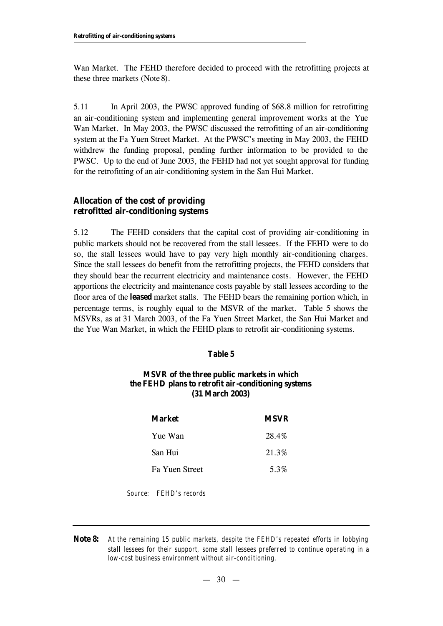Wan Market. The FEHD therefore decided to proceed with the retrofitting projects at these three markets (Note 8).

5.11 In April 2003, the PWSC approved funding of \$68.8 million for retrofitting an air-conditioning system and implementing general improvement works at the Yue Wan Market. In May 2003, the PWSC discussed the retrofitting of an air-conditioning system at the Fa Yuen Street Market. At the PWSC's meeting in May 2003, the FEHD withdrew the funding proposal, pending further information to be provided to the PWSC. Up to the end of June 2003, the FEHD had not yet sought approval for funding for the retrofitting of an air-conditioning system in the San Hui Market.

## **Allocation of the cost of providing retrofitted air-conditioning systems**

5.12 The FEHD considers that the capital cost of providing air-conditioning in public markets should not be recovered from the stall lessees. If the FEHD were to do so, the stall lessees would have to pay very high monthly air-conditioning charges. Since the stall lessees do benefit from the retrofitting projects, the FEHD considers that they should bear the recurrent electricity and maintenance costs. However, the FEHD apportions the electricity and maintenance costs payable by stall lessees according to the floor area of the **leased** market stalls. The FEHD bears the remaining portion which, in percentage terms, is roughly equal to the MSVR of the market. Table 5 shows the MSVRs, as at 31 March 2003, of the Fa Yuen Street Market, the San Hui Market and the Yue Wan Market, in which the FEHD plans to retrofit air-conditioning systems.

#### **Table 5**

#### **MSVR of the three public markets in which the FEHD plans to retrofit air-conditioning systems (31 March 2003)**

| Market                | <b>MSVR</b> |
|-----------------------|-------------|
| Yue Wan               | 28.4%       |
| San Hui               | 21.3%       |
| <b>Fa Yuen Street</b> | 5.3%        |
|                       |             |

*Source: FEHD's records*

**Note 8:** *At the remaining 15 public markets, despite the FEHD's repeated efforts in lobbying stall lessees for their support, some stall lessees preferred to continue operating in a low-cost business environment without air-conditioning.*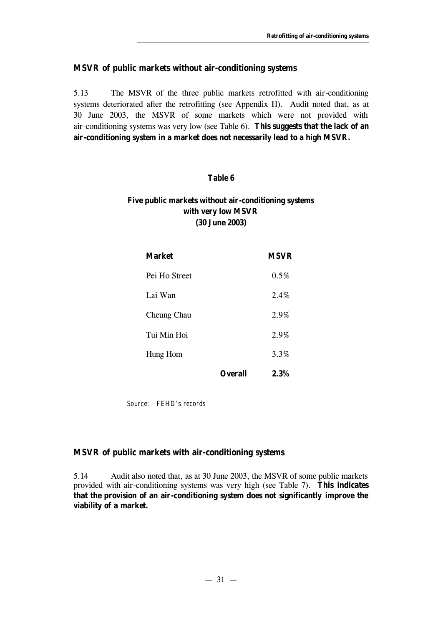#### **MSVR of public markets without air-conditioning systems**

5.13 The MSVR of the three public markets retrofitted with air-conditioning systems deteriorated after the retrofitting (see Appendix H). Audit noted that, as at 30 June 2003, the MSVR of some markets which were not provided with air-conditioning systems was very low (see Table 6). **This suggests that the lack of an air-conditioning system in a market does not necessarily lead to a high MSVR.**

## **Table 6**

## **Five public markets without air-conditioning systems with very low MSVR (30 June 2003)**

| <b>Market</b> |                | <b>MSVR</b> |
|---------------|----------------|-------------|
| Pei Ho Street |                | 0.5%        |
| Lai Wan       |                | 2.4%        |
| Cheung Chau   |                | 2.9%        |
| Tui Min Hoi   |                | 2.9%        |
| Hung Hom      |                | 3.3%        |
|               | <b>Overall</b> | 2.3%        |

*Source: FEHD's records*

#### **MSVR of public markets with air-conditioning systems**

5.14 Audit also noted that, as at 30 June 2003, the MSVR of some public markets provided with air-conditioning systems was very high (see Table 7). **This indicates that the provision of an air-conditioning system does not significantly improve the viability of a market.**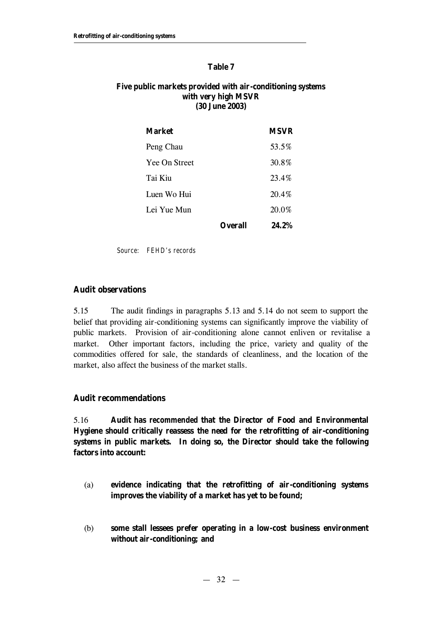#### **Table 7**

#### **Five public markets provided with air-conditioning systems with very high MSVR (30 June 2003)**

| <b>Market</b>        |         | <b>MSVR</b> |
|----------------------|---------|-------------|
| Peng Chau            |         | 53.5%       |
| <b>Yee On Street</b> |         | 30.8%       |
| Tai Kiu              |         | 23.4%       |
| Luen Wo Hui          |         | $20.4\%$    |
| Lei Yue Mun          |         | 20.0%       |
|                      | )verall | 24.2%       |

*Source: FEHD's records*

## **Audit observations**

5.15 The audit findings in paragraphs 5.13 and 5.14 do not seem to support the belief that providing air-conditioning systems can significantly improve the viability of public markets. Provision of air-conditioning alone cannot enliven or revitalise a market. Other important factors, including the price, variety and quality of the commodities offered for sale, the standards of cleanliness, and the location of the market, also affect the business of the market stalls.

#### **Audit recommendations**

5.16 **Audit has** *recommended* **that the Director of Food and Environmental Hygiene should critically reassess the need for the retrofitting of air-conditioning systems in public markets. In doing so, the Director should take the following factors into account:**

- (a) **evidence indicating that the retrofitting of air-conditioning systems improves the viability of a market has yet to be found;**
- (b) **some stall lessees prefer operating in a low-cost business environment without air-conditioning; and**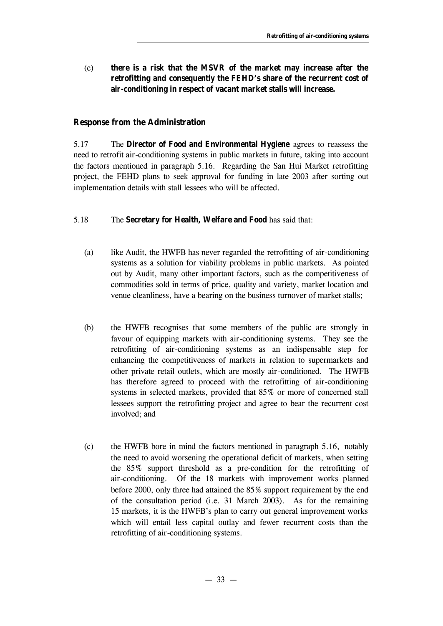(c) **there is a risk that the MSVR of the market may increase after the retrofitting and consequently the FEHD's share of the recurrent cost of air-conditioning in respect of vacant market stalls will increase.**

#### **Response from the Administration**

5.17 The **Director of Food and Environmental Hygiene** agrees to reassess the need to retrofit air-conditioning systems in public markets in future, taking into account the factors mentioned in paragraph 5.16. Regarding the San Hui Market retrofitting project, the FEHD plans to seek approval for funding in late 2003 after sorting out implementation details with stall lessees who will be affected.

#### 5.18 The **Secretary for Health, Welfare and Food** has said that:

- (a) like Audit, the HWFB has never regarded the retrofitting of air-conditioning systems as a solution for viability problems in public markets. As pointed out by Audit, many other important factors, such as the competitiveness of commodities sold in terms of price, quality and variety, market location and venue cleanliness, have a bearing on the business turnover of market stalls;
- (b) the HWFB recognises that some members of the public are strongly in favour of equipping markets with air-conditioning systems. They see the retrofitting of air-conditioning systems as an indispensable step for enhancing the competitiveness of markets in relation to supermarkets and other private retail outlets, which are mostly air-conditioned. The HWFB has therefore agreed to proceed with the retrofitting of air-conditioning systems in selected markets, provided that 85% or more of concerned stall lessees support the retrofitting project and agree to bear the recurrent cost involved; and
- (c) the HWFB bore in mind the factors mentioned in paragraph 5.16, notably the need to avoid worsening the operational deficit of markets, when setting the 85% support threshold as a pre-condition for the retrofitting of air-conditioning. Of the 18 markets with improvement works planned before 2000, only three had attained the 85% support requirement by the end of the consultation period (i.e. 31 March 2003). As for the remaining 15 markets, it is the HWFB's plan to carry out general improvement works which will entail less capital outlay and fewer recurrent costs than the retrofitting of air-conditioning systems.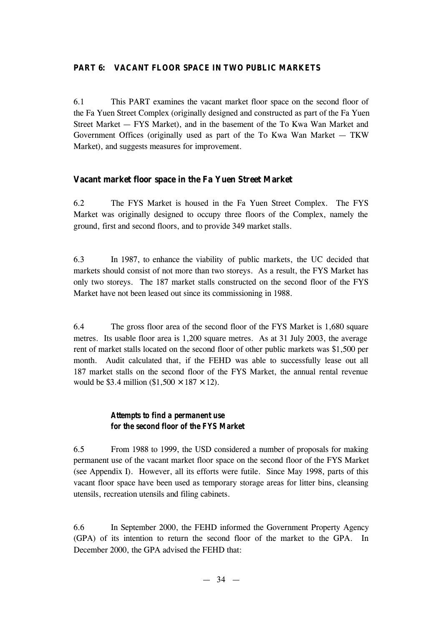## **PART 6: VACANT FLOOR SPACE IN TWO PUBLIC MARKETS**

6.1 This PART examines the vacant market floor space on the second floor of the Fa Yuen Street Complex (originally designed and constructed as part of the Fa Yuen Street Market — FYS Market), and in the basement of the To Kwa Wan Market and Government Offices (originally used as part of the To Kwa Wan Market — TKW Market), and suggests measures for improvement.

## **Vacant market floor space in the Fa Yuen Street Market**

6.2 The FYS Market is housed in the Fa Yuen Street Complex. The FYS Market was originally designed to occupy three floors of the Complex, namely the ground, first and second floors, and to provide 349 market stalls.

6.3 In 1987, to enhance the viability of public markets, the UC decided that markets should consist of not more than two storeys. As a result, the FYS Market has only two storeys. The 187 market stalls constructed on the second floor of the FYS Market have not been leased out since its commissioning in 1988.

6.4 The gross floor area of the second floor of the FYS Market is 1,680 square metres. Its usable floor area is 1,200 square metres. As at 31 July 2003, the average rent of market stalls located on the second floor of other public markets was \$1,500 per month. Audit calculated that, if the FEHD was able to successfully lease out all 187 market stalls on the second floor of the FYS Market, the annual rental revenue would be \$3.4 million (\$1,500  $\times$  187  $\times$  12).

## *Attempts to find a permanent use for the second floor of the FYS Market*

6.5 From 1988 to 1999, the USD considered a number of proposals for making permanent use of the vacant market floor space on the second floor of the FYS Market (see Appendix I). However, all its efforts were futile. Since May 1998, parts of this vacant floor space have been used as temporary storage areas for litter bins, cleansing utensils, recreation utensils and filing cabinets.

6.6 In September 2000, the FEHD informed the Government Property Agency (GPA) of its intention to return the second floor of the market to the GPA. In December 2000, the GPA advised the FEHD that: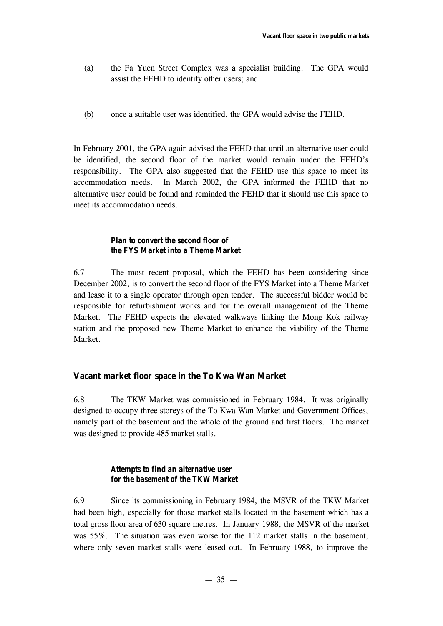- (a) the Fa Yuen Street Complex was a specialist building. The GPA would assist the FEHD to identify other users; and
- (b) once a suitable user was identified, the GPA would advise the FEHD.

In February 2001, the GPA again advised the FEHD that until an alternative user could be identified, the second floor of the market would remain under the FEHD's responsibility. The GPA also suggested that the FEHD use this space to meet its accommodation needs. In March 2002, the GPA informed the FEHD that no alternative user could be found and reminded the FEHD that it should use this space to meet its accommodation needs.

## *Plan to convert the second floor of the FYS Market into a Theme Market*

6.7 The most recent proposal, which the FEHD has been considering since December 2002, is to convert the second floor of the FYS Market into a Theme Market and lease it to a single operator through open tender. The successful bidder would be responsible for refurbishment works and for the overall management of the Theme Market. The FEHD expects the elevated walkways linking the Mong Kok railway station and the proposed new Theme Market to enhance the viability of the Theme Market.

#### **Vacant market floor space in the To Kwa Wan Market**

6.8 The TKW Market was commissioned in February 1984. It was originally designed to occupy three storeys of the To Kwa Wan Market and Government Offices, namely part of the basement and the whole of the ground and first floors. The market was designed to provide 485 market stalls.

#### *Attempts to find an alternative user for the basement of the TKW Market*

6.9 Since its commissioning in February 1984, the MSVR of the TKW Market had been high, especially for those market stalls located in the basement which has a total gross floor area of 630 square metres. In January 1988, the MSVR of the market was 55%. The situation was even worse for the 112 market stalls in the basement, where only seven market stalls were leased out. In February 1988, to improve the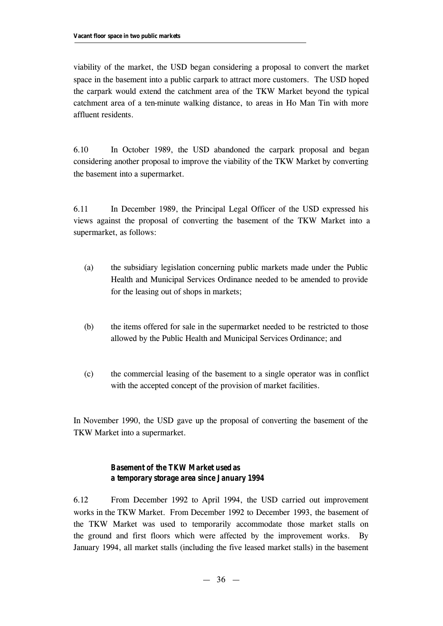viability of the market, the USD began considering a proposal to convert the market space in the basement into a public carpark to attract more customers. The USD hoped the carpark would extend the catchment area of the TKW Market beyond the typical catchment area of a ten-minute walking distance, to areas in Ho Man Tin with more affluent residents.

6.10 In October 1989, the USD abandoned the carpark proposal and began considering another proposal to improve the viability of the TKW Market by converting the basement into a supermarket.

6.11 In December 1989, the Principal Legal Officer of the USD expressed his views against the proposal of converting the basement of the TKW Market into a supermarket, as follows:

- (a) the subsidiary legislation concerning public markets made under the Public Health and Municipal Services Ordinance needed to be amended to provide for the leasing out of shops in markets;
- (b) the items offered for sale in the supermarket needed to be restricted to those allowed by the Public Health and Municipal Services Ordinance; and
- (c) the commercial leasing of the basement to a single operator was in conflict with the accepted concept of the provision of market facilities.

In November 1990, the USD gave up the proposal of converting the basement of the TKW Market into a supermarket.

## *Basement of the TKW Market used as a temporary storage area since January 1994*

6.12 From December 1992 to April 1994, the USD carried out improvement works in the TKW Market. From December 1992 to December 1993, the basement of the TKW Market was used to temporarily accommodate those market stalls on the ground and first floors which were affected by the improvement works. By January 1994, all market stalls (including the five leased market stalls) in the basement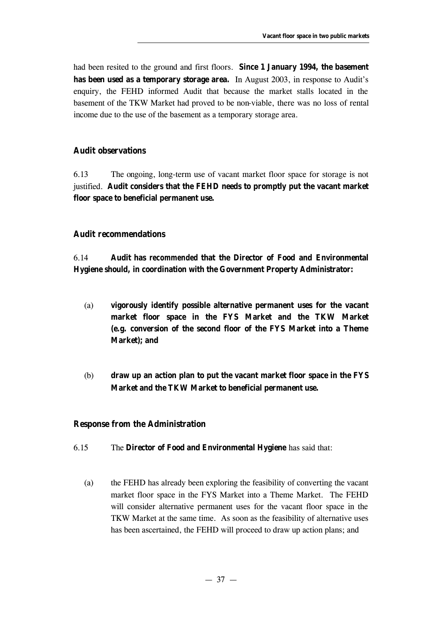had been resited to the ground and first floors. **Since 1 January 1994, the basement has been used as a temporary storage area.** In August 2003, in response to Audit's enquiry, the FEHD informed Audit that because the market stalls located in the basement of the TKW Market had proved to be non-viable, there was no loss of rental income due to the use of the basement as a temporary storage area.

## **Audit observations**

6.13 The ongoing, long-term use of vacant market floor space for storage is not justified. **Audit considers that the FEHD needs to promptly put the vacant market floor space to beneficial permanent use.**

#### **Audit recommendations**

6.14 **Audit has** *recommended* **that the Director of Food and Environmental Hygiene should, in coordination with the Government Property Administrator:**

- (a) **vigorously identify possible alternative permanent uses for the vacant market floor space in the FYS Market and the TKW Market (e.g. conversion of the second floor of the FYS Market into a Theme Market); and**
- (b) **draw up an action plan to put the vacant market floor space in the FYS Market and the TKW Market to beneficial permanent use.**

#### **Response from the Administration**

- 6.15 The **Director of Food and Environmental Hygiene** has said that:
	- (a) the FEHD has already been exploring the feasibility of converting the vacant market floor space in the FYS Market into a Theme Market. The FEHD will consider alternative permanent uses for the vacant floor space in the TKW Market at the same time. As soon as the feasibility of alternative uses has been ascertained, the FEHD will proceed to draw up action plans; and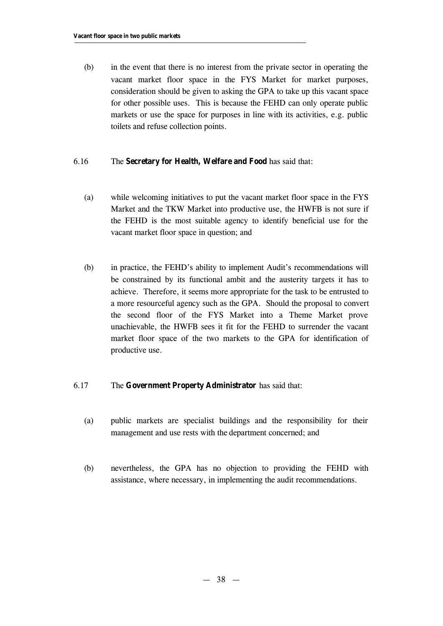(b) in the event that there is no interest from the private sector in operating the vacant market floor space in the FYS Market for market purposes, consideration should be given to asking the GPA to take up this vacant space for other possible uses. This is because the FEHD can only operate public markets or use the space for purposes in line with its activities, e.g. public toilets and refuse collection points.

#### 6.16 The **Secretary for Health, Welfare and Food** has said that:

- (a) while welcoming initiatives to put the vacant market floor space in the FYS Market and the TKW Market into productive use, the HWFB is not sure if the FEHD is the most suitable agency to identify beneficial use for the vacant market floor space in question; and
- (b) in practice, the FEHD's ability to implement Audit's recommendations will be constrained by its functional ambit and the austerity targets it has to achieve. Therefore, it seems more appropriate for the task to be entrusted to a more resourceful agency such as the GPA. Should the proposal to convert the second floor of the FYS Market into a Theme Market prove unachievable, the HWFB sees it fit for the FEHD to surrender the vacant market floor space of the two markets to the GPA for identification of productive use.

#### 6.17 The **Government Property Administrator** has said that:

- (a) public markets are specialist buildings and the responsibility for their management and use rests with the department concerned; and
- (b) nevertheless, the GPA has no objection to providing the FEHD with assistance, where necessary, in implementing the audit recommendations.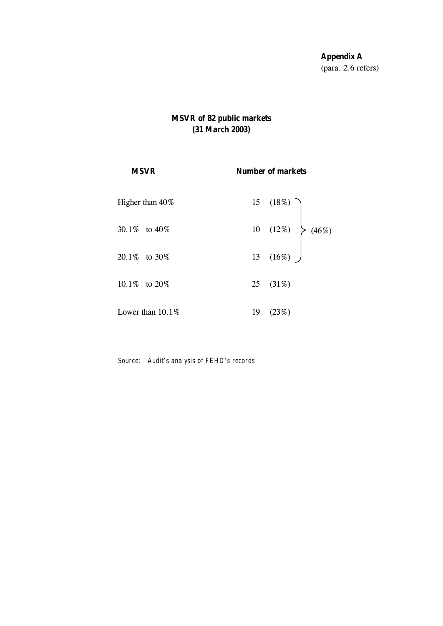**Appendix A** (para. 2.6 refers)

## **MSVR of 82 public markets (31 March 2003)**

| <b>MSVR</b>         | <b>Number of markets</b>                     |  |
|---------------------|----------------------------------------------|--|
| Higher than 40%     |                                              |  |
| 30.1\% to 40\%      | 15 (18%)<br>10 (12%)<br>13 (16%)<br>13 (16%) |  |
| $20.1\%$ to $30\%$  |                                              |  |
| 10.1\% to 20\%      | 25 $(31%)$                                   |  |
| Lower than $10.1\%$ | 19(23%)                                      |  |

*Source: Audit's analysis of FEHD's records*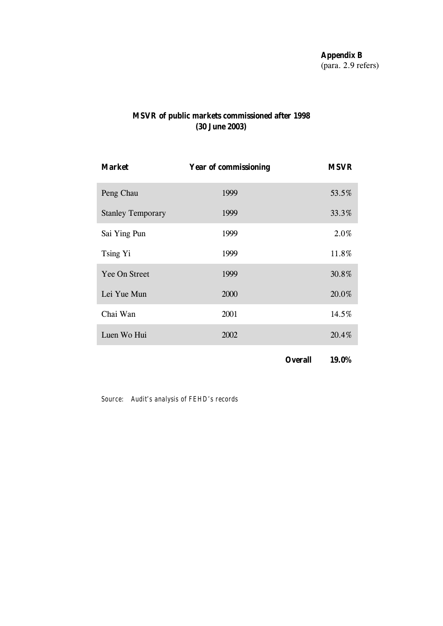## **MSVR of public markets commissioned after 1998 (30 June 2003)**

| <b>Market</b>            | <b>Year of commissioning</b> | <b>MSVR</b> |
|--------------------------|------------------------------|-------------|
| Peng Chau                | 1999                         | 53.5%       |
| <b>Stanley Temporary</b> | 1999                         | 33.3%       |
| Sai Ying Pun             | 1999                         | 2.0%        |
| Tsing Yi                 | 1999                         | 11.8%       |
| Yee On Street            | 1999                         | 30.8%       |
| Lei Yue Mun              | 2000                         | 20.0%       |
| Chai Wan                 | 2001                         | 14.5%       |
| Luen Wo Hui              | 2002                         | 20.4%       |
|                          |                              |             |

**Overall 19.0%**

*Source: Audit's analysis of FEHD's records*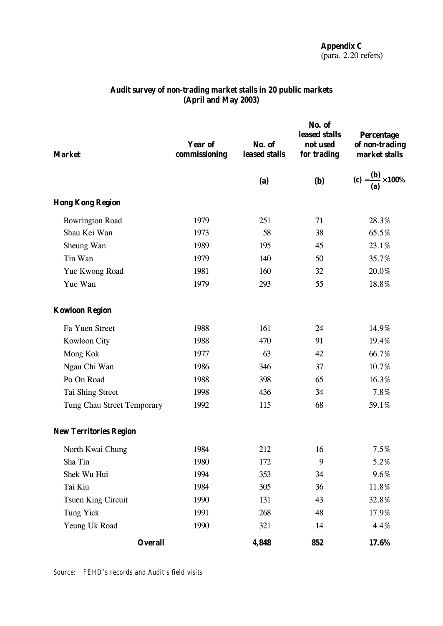**Appendix C** (para. 2.20 refers)

| <b>Market</b>                 | <b>Year of</b><br>commissioning | No. of<br>leased stalls | No. of<br>leased stalls<br>not used<br>for trading | <b>Percentage</b><br>of non-trading<br>market stalls |
|-------------------------------|---------------------------------|-------------------------|----------------------------------------------------|------------------------------------------------------|
|                               |                                 | (a)                     | <b>(b)</b>                                         | (c) = $\frac{(b)}{(a)} \times 100\%$                 |
| <b>Hong Kong Region</b>       |                                 |                         |                                                    |                                                      |
| <b>Bowrington Road</b>        | 1979                            | 251                     | 71                                                 | 28.3%                                                |
| Shau Kei Wan                  | 1973                            | 58                      | 38                                                 | 65.5%                                                |
| Sheung Wan                    | 1989                            | 195                     | 45                                                 | 23.1%                                                |
| Tin Wan                       | 1979                            | 140                     | 50                                                 | 35.7%                                                |
| Yue Kwong Road                | 1981                            | 160                     | 32                                                 | 20.0%                                                |
| Yue Wan                       | 1979                            | 293                     | 55                                                 | 18.8%                                                |
| <b>Kowloon Region</b>         |                                 |                         |                                                    |                                                      |
| Fa Yuen Street                | 1988                            | 161                     | 24                                                 | 14.9%                                                |
| Kowloon City                  | 1988                            | 470                     | 91                                                 | 19.4%                                                |
| Mong Kok                      | 1977                            | 63                      | 42                                                 | 66.7%                                                |
| Ngau Chi Wan                  | 1986                            | 346                     | 37                                                 | 10.7%                                                |
| Po On Road                    | 1988                            | 398                     | 65                                                 | 16.3%                                                |
| Tai Shing Street              | 1998                            | 436                     | 34                                                 | 7.8%                                                 |
| Tung Chau Street Temporary    | 1992                            | 115                     | 68                                                 | 59.1%                                                |
| <b>New Territories Region</b> |                                 |                         |                                                    |                                                      |
| North Kwai Chung              | 1984                            | 212                     | 16                                                 | 7.5%                                                 |
| Sha Tin                       | 1980                            | 172                     | 9                                                  | 5.2%                                                 |
| Shek Wu Hui                   | 1994                            | 353                     | 34                                                 | 9.6%                                                 |
| Tai Kiu                       | 1984                            | 305                     | 36                                                 | 11.8%                                                |
| <b>Tsuen King Circuit</b>     | 1990                            | 131                     | 43                                                 | 32.8%                                                |
| Tung Yick                     | 1991                            | 268                     | 48                                                 | 17.9%                                                |
| Yeung Uk Road                 | 1990                            | 321                     | 14                                                 | 4.4%                                                 |
| <b>Overall</b>                |                                 | 4,848                   | 852                                                | 17.6%                                                |

## **Audit survey of non-trading market stalls in 20 public markets (April and May 2003)**

*Source: FEHD's records and Audit's field visits*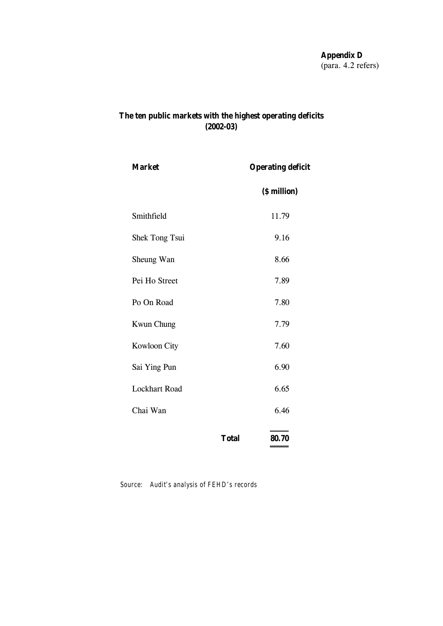## **The ten public markets with the highest operating deficits (2002-03)**

| <b>Market</b>        |              | <b>Operating deficit</b> |  |  |
|----------------------|--------------|--------------------------|--|--|
|                      |              | (\$ million)             |  |  |
| Smithfield           |              | 11.79                    |  |  |
| Shek Tong Tsui       |              | 9.16                     |  |  |
| Sheung Wan           |              | 8.66                     |  |  |
| Pei Ho Street        |              | 7.89                     |  |  |
| Po On Road           |              | 7.80                     |  |  |
| <b>Kwun Chung</b>    |              | 7.79                     |  |  |
| <b>Kowloon City</b>  |              | 7.60                     |  |  |
| Sai Ying Pun         |              | 6.90                     |  |  |
| <b>Lockhart Road</b> |              | 6.65                     |  |  |
| Chai Wan             |              | 6.46                     |  |  |
|                      | <b>Total</b> | 80.70                    |  |  |

*Source: Audit's analysis of FEHD's records*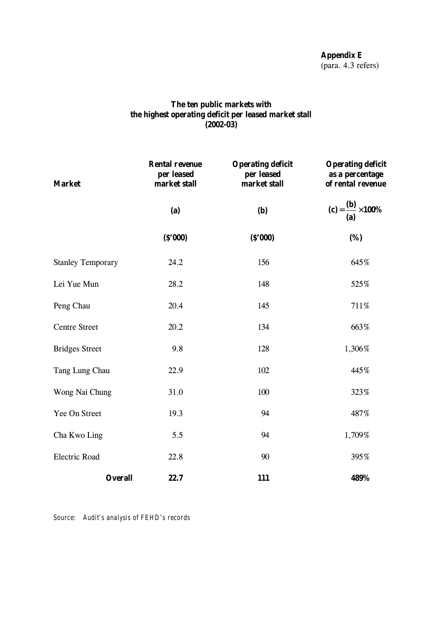**Appendix E** (para. 4.3 refers)

## **The ten public markets with the highest operating deficit per leased market stall (2002-03)**

| <b>Market</b>            | <b>Rental revenue</b><br>per leased<br>market stall | <b>Operating deficit</b><br>per leased<br>market stall | <b>Operating deficit</b><br>as a percentage<br>of rental revenue |  |
|--------------------------|-----------------------------------------------------|--------------------------------------------------------|------------------------------------------------------------------|--|
|                          | (a)                                                 |                                                        | (c) = $\frac{(b)}{(a)} \times 100\%$                             |  |
|                          | (S'000)                                             | (S'000)                                                | (%)                                                              |  |
| <b>Stanley Temporary</b> | 24.2                                                | 156                                                    | 645%                                                             |  |
| Lei Yue Mun              | 28.2                                                | 148                                                    | 525%                                                             |  |
| Peng Chau                | 20.4                                                | 145                                                    | 711%                                                             |  |
| <b>Centre Street</b>     | 20.2                                                | 134                                                    | 663%                                                             |  |
| <b>Bridges Street</b>    | 9.8                                                 | 128                                                    | 1,306%                                                           |  |
| Tang Lung Chau           | 22.9                                                | 102                                                    | 445%                                                             |  |
| Wong Nai Chung           | 31.0                                                | 100                                                    | 323%                                                             |  |
| Yee On Street            | 19.3                                                | 94                                                     | 487%                                                             |  |
| Cha Kwo Ling             | 5.5                                                 | 94                                                     | 1,709%                                                           |  |
| <b>Electric Road</b>     | 22.8                                                | 90                                                     | 395%                                                             |  |
| <b>Overall</b>           | 22.7                                                | 111                                                    | 489%                                                             |  |

*Source: Audit's analysis of FEHD's records*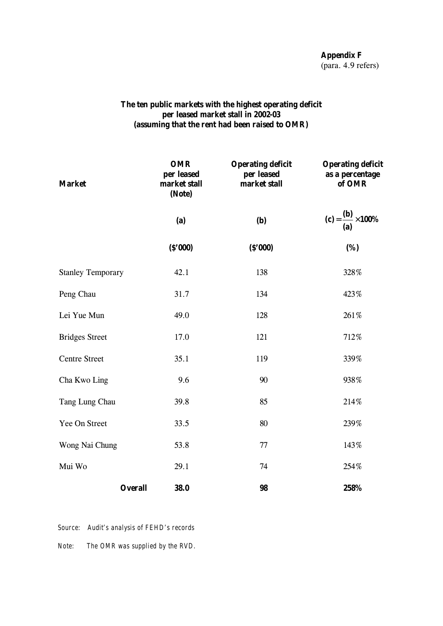**Appendix F** (para. 4.9 refers)

## **The ten public markets with the highest operating deficit per leased market stall in 2002-03 (assuming that the rent had been raised to OMR)**

| <b>Market</b>            | <b>OMR</b><br>per leased<br>market stall<br>(Note) | <b>Operating deficit</b><br>per leased<br>market stall |                                      |  |
|--------------------------|----------------------------------------------------|--------------------------------------------------------|--------------------------------------|--|
|                          | (b)<br>(a)                                         |                                                        | (c) = $\frac{(b)}{(a)} \times 100\%$ |  |
|                          | (S'000)                                            | (S'000)                                                | (%)                                  |  |
| <b>Stanley Temporary</b> | 42.1                                               | 138                                                    | 328%                                 |  |
| Peng Chau                | 31.7                                               | 134                                                    | 423%                                 |  |
| Lei Yue Mun              | 49.0                                               | 128                                                    | 261%                                 |  |
| <b>Bridges Street</b>    | 17.0                                               | 121                                                    | 712%                                 |  |
| <b>Centre Street</b>     | 35.1                                               | 119                                                    | 339%                                 |  |
| Cha Kwo Ling             | 9.6                                                | 90                                                     | 938%                                 |  |
| Tang Lung Chau           | 39.8                                               | 85                                                     | 214%                                 |  |
| Yee On Street            | 33.5                                               | 80                                                     | 239%                                 |  |
| Wong Nai Chung           | 53.8                                               | 77                                                     | 143%                                 |  |
| Mui Wo                   | 29.1                                               | 74                                                     | 254%                                 |  |
| <b>Overall</b>           | 38.0                                               | 98                                                     | 258%                                 |  |

*Source: Audit's analysis of FEHD's records*

*Note: The OMR was supplied by the RVD.*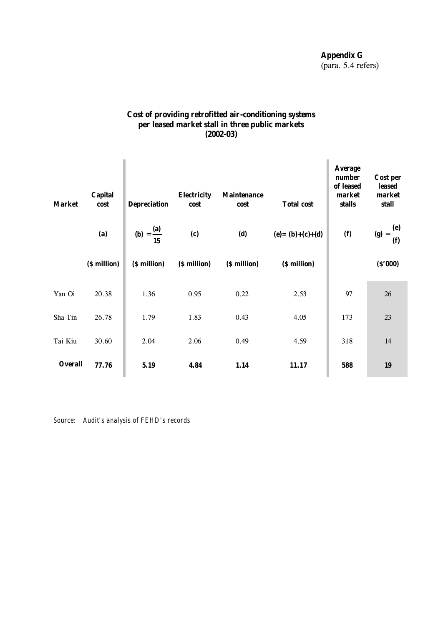**Appendix G** (para. 5.4 refers)

## **Cost of providing retrofitted air-conditioning systems per leased market stall in three public markets (2002-03)**

| <b>Market</b>  | <b>Capital</b><br>cost<br>(a)<br>(\$ million) | <b>Depreciation</b><br>( <b>b</b> ) = $\frac{(\mathbf{a})}{15}$<br>(\$ million) | <b>Electricity</b><br>cost<br>(c)<br>(\$ million) | <b>Maintenance</b><br>cost<br>(d)<br>(\$ million) | <b>Total cost</b><br>$(e) = (b)+(c)+(d)$<br>(\$ million) | <b>Average</b><br>number<br>of leased<br>market<br>stalls<br>(f) | Cost per<br>leased<br>market<br>stall<br>(g) = $\frac{e}{f}$<br>(S'000) |
|----------------|-----------------------------------------------|---------------------------------------------------------------------------------|---------------------------------------------------|---------------------------------------------------|----------------------------------------------------------|------------------------------------------------------------------|-------------------------------------------------------------------------|
| Yan Oi         | 20.38                                         | 1.36                                                                            | 0.95                                              | 0.22                                              | 2.53                                                     | 97                                                               | 26                                                                      |
| Sha Tin        | 26.78                                         | 1.79                                                                            | 1.83                                              | 0.43                                              | 4.05                                                     | 173                                                              | 23                                                                      |
| Tai Kiu        | 30.60                                         | 2.04                                                                            | 2.06                                              | 0.49                                              | 4.59                                                     | 318                                                              | 14                                                                      |
| <b>Overall</b> | 77.76                                         | 5.19                                                                            | 4.84                                              | 1.14                                              | 11.17                                                    | 588                                                              | 19                                                                      |

*Source: Audit's analysis of FEHD's records*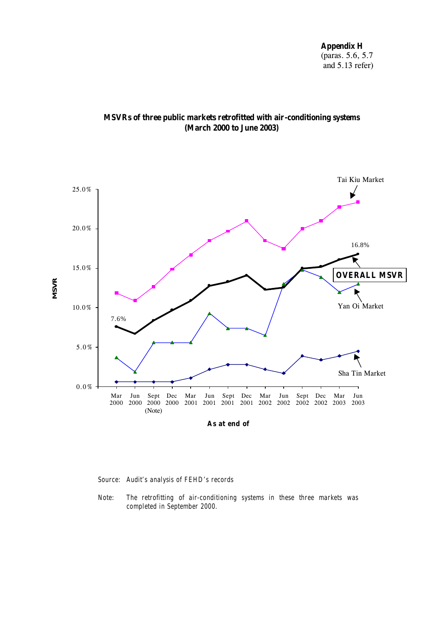**Appendix H** (paras. 5.6, 5.7 and 5.13 refer)





*Source: Audit's analysis of FEHD's records*

*Note: The retrofitting of air-conditioning systems in these three markets was completed in September 2000.*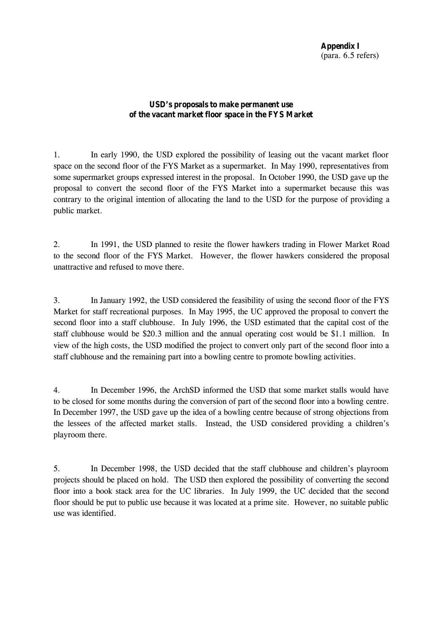## **USD's proposals to make permanent use of the vacant market floor space in the FYS Market**

1. In early 1990, the USD explored the possibility of leasing out the vacant market floor space on the second floor of the FYS Market as a supermarket. In May 1990, representatives from some supermarket groups expressed interest in the proposal. In October 1990, the USD gave up the proposal to convert the second floor of the FYS Market into a supermarket because this was contrary to the original intention of allocating the land to the USD for the purpose of providing a public market.

2. In 1991, the USD planned to resite the flower hawkers trading in Flower Market Road to the second floor of the FYS Market. However, the flower hawkers considered the proposal unattractive and refused to move there.

3. In January 1992, the USD considered the feasibility of using the second floor of the FYS Market for staff recreational purposes. In May 1995, the UC approved the proposal to convert the second floor into a staff clubhouse. In July 1996, the USD estimated that the capital cost of the staff clubhouse would be \$20.3 million and the annual operating cost would be \$1.1 million. In view of the high costs, the USD modified the project to convert only part of the second floor into a staff clubhouse and the remaining part into a bowling centre to promote bowling activities.

4. In December 1996, the ArchSD informed the USD that some market stalls would have to be closed for some months during the conversion of part of the second floor into a bowling centre. In December 1997, the USD gave up the idea of a bowling centre because of strong objections from the lessees of the affected market stalls. Instead, the USD considered providing a children's playroom there.

5. In December 1998, the USD decided that the staff clubhouse and children's playroom projects should be placed on hold. The USD then explored the possibility of converting the second floor into a book stack area for the UC libraries. In July 1999, the UC decided that the second floor should be put to public use because it was located at a prime site. However, no suitable public use was identified.